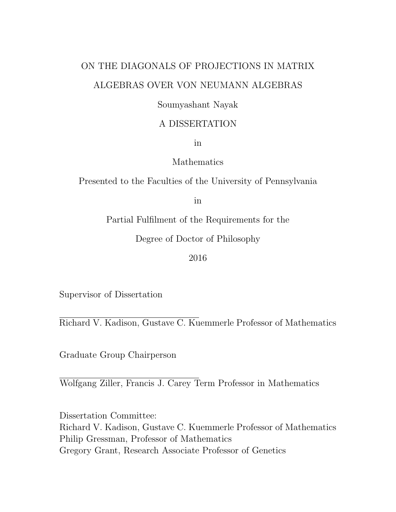## ON THE DIAGONALS OF PROJECTIONS IN MATRIX ALGEBRAS OVER VON NEUMANN ALGEBRAS

#### Soumyashant Nayak

#### A DISSERTATION

in

#### Mathematics

Presented to the Faculties of the University of Pennsylvania

in

Partial Fulfilment of the Requirements for the

Degree of Doctor of Philosophy

#### 2016

Supervisor of Dissertation

Richard V. Kadison, Gustave C. Kuemmerle Professor of Mathematics

Graduate Group Chairperson

Wolfgang Ziller, Francis J. Carey Term Professor in Mathematics

Dissertation Committee: Richard V. Kadison, Gustave C. Kuemmerle Professor of Mathematics Philip Gressman, Professor of Mathematics Gregory Grant, Research Associate Professor of Genetics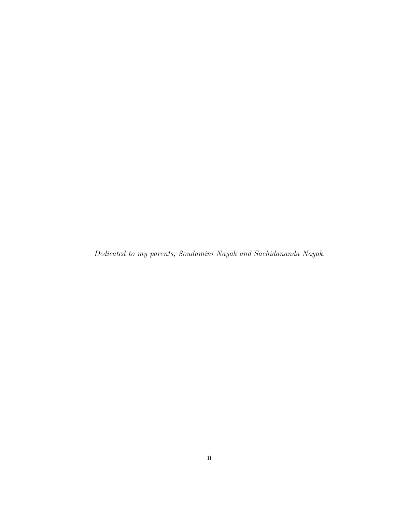Dedicated to my parents, Soudamini Nayak and Sachidananda Nayak.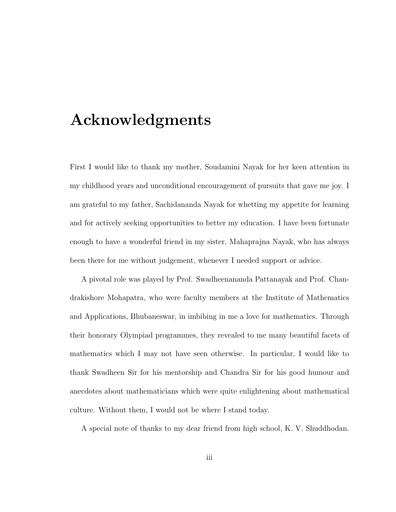## Acknowledgments

First I would like to thank my mother, Soudamini Nayak for her keen attention in my childhood years and unconditional encouragement of pursuits that gave me joy. I am grateful to my father, Sachidananda Nayak for whetting my appetite for learning and for actively seeking opportunities to better my education. I have been fortunate enough to have a wonderful friend in my sister, Mahaprajna Nayak, who has always been there for me without judgement, whenever I needed support or advice.

A pivotal role was played by Prof. Swadheenananda Pattanayak and Prof. Chandrakishore Mohapatra, who were faculty members at the Institute of Mathematics and Applications, Bhubaneswar, in imbibing in me a love for mathematics. Through their honorary Olympiad programmes, they revealed to me many beautiful facets of mathematics which I may not have seen otherwise. In particular, I would like to thank Swadheen Sir for his mentorship and Chandra Sir for his good humour and anecdotes about mathematicians which were quite enlightening about mathematical culture. Without them, I would not be where I stand today.

A special note of thanks to my dear friend from high school, K. V. Shuddhodan.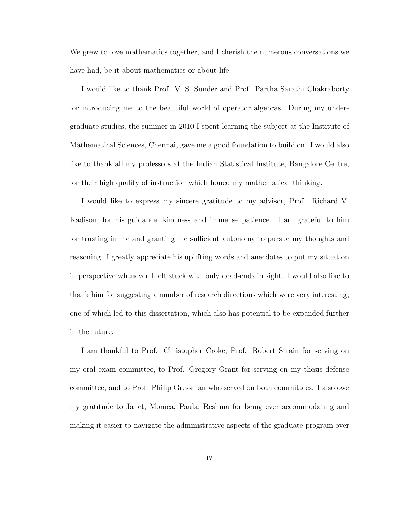We grew to love mathematics together, and I cherish the numerous conversations we have had, be it about mathematics or about life.

I would like to thank Prof. V. S. Sunder and Prof. Partha Sarathi Chakraborty for introducing me to the beautiful world of operator algebras. During my undergraduate studies, the summer in 2010 I spent learning the subject at the Institute of Mathematical Sciences, Chennai, gave me a good foundation to build on. I would also like to thank all my professors at the Indian Statistical Institute, Bangalore Centre, for their high quality of instruction which honed my mathematical thinking.

I would like to express my sincere gratitude to my advisor, Prof. Richard V. Kadison, for his guidance, kindness and immense patience. I am grateful to him for trusting in me and granting me sufficient autonomy to pursue my thoughts and reasoning. I greatly appreciate his uplifting words and anecdotes to put my situation in perspective whenever I felt stuck with only dead-ends in sight. I would also like to thank him for suggesting a number of research directions which were very interesting, one of which led to this dissertation, which also has potential to be expanded further in the future.

I am thankful to Prof. Christopher Croke, Prof. Robert Strain for serving on my oral exam committee, to Prof. Gregory Grant for serving on my thesis defense committee, and to Prof. Philip Gressman who served on both committees. I also owe my gratitude to Janet, Monica, Paula, Reshma for being ever accommodating and making it easier to navigate the administrative aspects of the graduate program over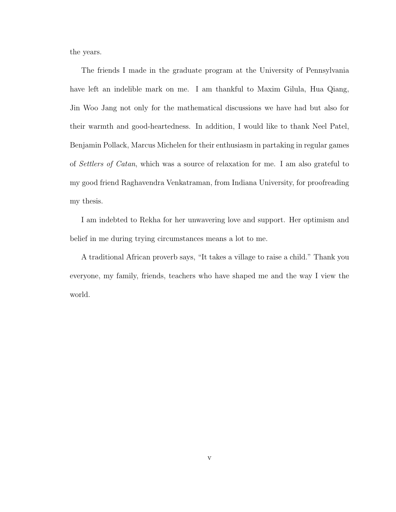the years.

The friends I made in the graduate program at the University of Pennsylvania have left an indelible mark on me. I am thankful to Maxim Gilula, Hua Qiang, Jin Woo Jang not only for the mathematical discussions we have had but also for their warmth and good-heartedness. In addition, I would like to thank Neel Patel, Benjamin Pollack, Marcus Michelen for their enthusiasm in partaking in regular games of Settlers of Catan, which was a source of relaxation for me. I am also grateful to my good friend Raghavendra Venkatraman, from Indiana University, for proofreading my thesis.

I am indebted to Rekha for her unwavering love and support. Her optimism and belief in me during trying circumstances means a lot to me.

A traditional African proverb says, "It takes a village to raise a child." Thank you everyone, my family, friends, teachers who have shaped me and the way I view the world.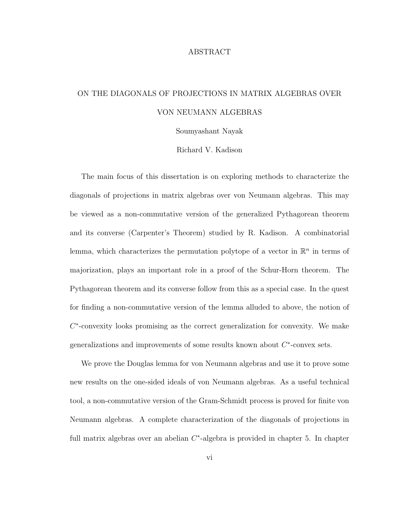#### ABSTRACT

### ON THE DIAGONALS OF PROJECTIONS IN MATRIX ALGEBRAS OVER VON NEUMANN ALGEBRAS

Soumyashant Nayak

Richard V. Kadison

The main focus of this dissertation is on exploring methods to characterize the diagonals of projections in matrix algebras over von Neumann algebras. This may be viewed as a non-commutative version of the generalized Pythagorean theorem and its converse (Carpenter's Theorem) studied by R. Kadison. A combinatorial lemma, which characterizes the permutation polytope of a vector in  $\mathbb{R}^n$  in terms of majorization, plays an important role in a proof of the Schur-Horn theorem. The Pythagorean theorem and its converse follow from this as a special case. In the quest for finding a non-commutative version of the lemma alluded to above, the notion of  $C^*$ -convexity looks promising as the correct generalization for convexity. We make generalizations and improvements of some results known about  $C^*$ -convex sets.

We prove the Douglas lemma for von Neumann algebras and use it to prove some new results on the one-sided ideals of von Neumann algebras. As a useful technical tool, a non-commutative version of the Gram-Schmidt process is proved for finite von Neumann algebras. A complete characterization of the diagonals of projections in full matrix algebras over an abelian  $C^*$ -algebra is provided in chapter 5. In chapter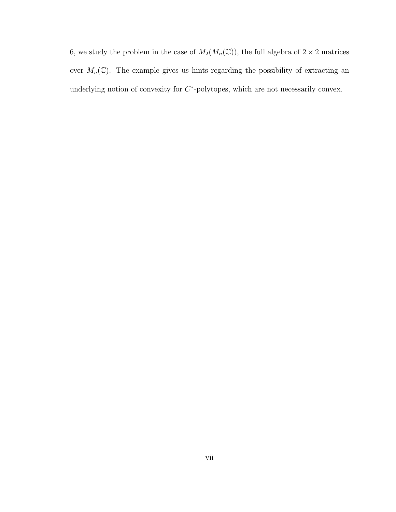6, we study the problem in the case of  $M_2(M_n(\mathbb{C}))$ , the full algebra of  $2 \times 2$  matrices over  $M_n(\mathbb{C})$ . The example gives us hints regarding the possibility of extracting an underlying notion of convexity for  $C^*$ -polytopes, which are not necessarily convex.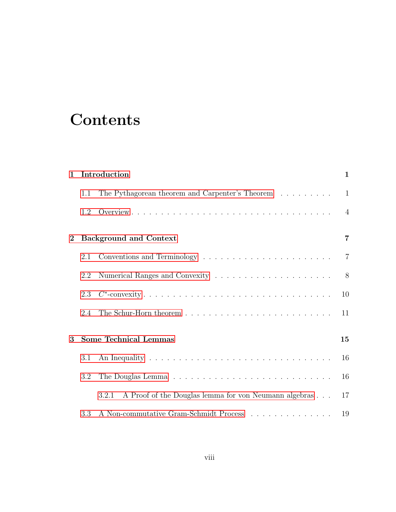## **Contents**

| $\mathbf{1}$ | Introduction                  |                                                                                   |                |
|--------------|-------------------------------|-----------------------------------------------------------------------------------|----------------|
|              | 1.1                           | The Pythagorean theorem and Carpenter's Theorem                                   | $\overline{1}$ |
|              | 1.2                           |                                                                                   | $\overline{4}$ |
| $\mathbf{2}$ | <b>Background and Context</b> |                                                                                   |                |
|              | 2.1                           |                                                                                   | $\overline{7}$ |
|              | 2.2                           | Numerical Ranges and Convexity $\ldots \ldots \ldots \ldots \ldots \ldots \ldots$ | 8              |
|              | 2.3                           |                                                                                   | 10             |
|              | 2.4                           |                                                                                   | 11             |
| 3            |                               | <b>Some Technical Lemmas</b>                                                      | 15             |
|              | 3.1                           |                                                                                   | 16             |
|              | 3.2                           |                                                                                   | 16             |
|              |                               | A Proof of the Douglas lemma for von Neumann algebras<br>3.2.1                    | 17             |
|              | 3.3                           | A Non-commutative Gram-Schmidt Process                                            | 19             |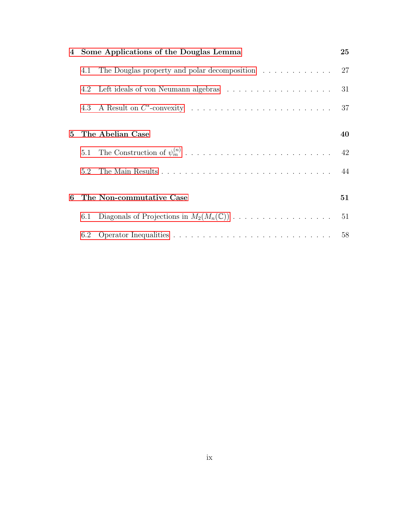|    | 4 Some Applications of the Douglas Lemma |                                              |    |
|----|------------------------------------------|----------------------------------------------|----|
|    | 4.1                                      | The Douglas property and polar decomposition | 27 |
|    |                                          |                                              |    |
|    |                                          |                                              |    |
|    |                                          |                                              |    |
| 5. |                                          | The Abelian Case                             | 40 |
|    | 5.1                                      |                                              |    |
|    | 5.2                                      |                                              |    |
|    |                                          |                                              |    |
| 6  |                                          | The Non-commutative Case                     | 51 |
|    | 6.1                                      |                                              | 51 |
|    | 6.2                                      |                                              |    |
|    |                                          |                                              |    |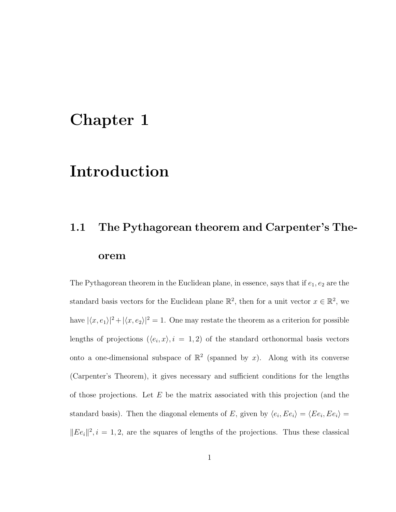## <span id="page-9-0"></span>Chapter 1

## Introduction

# <span id="page-9-1"></span>1.1 The Pythagorean theorem and Carpenter's Theorem

The Pythagorean theorem in the Euclidean plane, in essence, says that if  $e_1, e_2$  are the standard basis vectors for the Euclidean plane  $\mathbb{R}^2$ , then for a unit vector  $x \in \mathbb{R}^2$ , we have  $|\langle x, e_1\rangle|^2 + |\langle x, e_2\rangle|^2 = 1$ . One may restate the theorem as a criterion for possible lengths of projections  $(\langle e_i, x \rangle, i = 1, 2)$  of the standard orthonormal basis vectors onto a one-dimensional subspace of  $\mathbb{R}^2$  (spanned by x). Along with its converse (Carpenter's Theorem), it gives necessary and sufficient conditions for the lengths of those projections. Let  $E$  be the matrix associated with this projection (and the standard basis). Then the diagonal elements of E, given by  $\langle e_i, E e_i \rangle = \langle E e_i, E e_i \rangle =$  $||Ee_i||^2$ ,  $i = 1, 2$ , are the squares of lengths of the projections. Thus these classical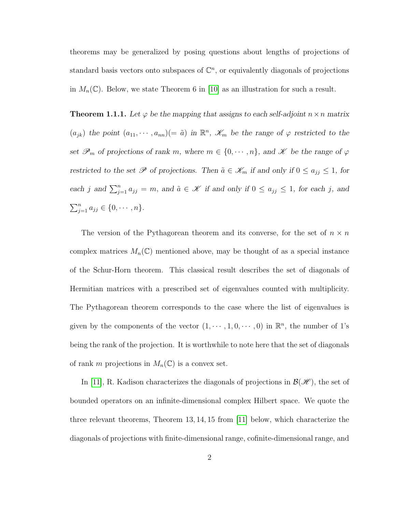theorems may be generalized by posing questions about lengths of projections of standard basis vectors onto subspaces of  $\mathbb{C}^n$ , or equivalently diagonals of projections in  $M_n(\mathbb{C})$ . Below, we state Theorem 6 in [\[10\]](#page-73-0) as an illustration for such a result.

**Theorem 1.1.1.** Let  $\varphi$  be the mapping that assigns to each self-adjoint  $n \times n$  matrix  $(a_{jk})$  the point  $(a_{11}, \dots, a_{nn}) (= \tilde{a})$  in  $\mathbb{R}^n$ ,  $\mathscr{K}_m$  be the range of  $\varphi$  restricted to the set  $\mathscr{P}_m$  of projections of rank m, where  $m \in \{0, \cdots, n\}$ , and  $\mathscr{K}$  be the range of  $\varphi$ restricted to the set  $\mathscr P$  of projections. Then  $\tilde{a} \in \mathscr K_m$  if and only if  $0 \leq a_{jj} \leq 1$ , for each j and  $\sum_{j=1}^{n} a_{jj} = m$ , and  $\tilde{a} \in \mathcal{K}$  if and only if  $0 \le a_{jj} \le 1$ , for each j, and  $\sum_{j=1}^{n} a_{jj} \in \{0, \cdots, n\}.$ 

The version of the Pythagorean theorem and its converse, for the set of  $n \times n$ complex matrices  $M_n(\mathbb{C})$  mentioned above, may be thought of as a special instance of the Schur-Horn theorem. This classical result describes the set of diagonals of Hermitian matrices with a prescribed set of eigenvalues counted with multiplicity. The Pythagorean theorem corresponds to the case where the list of eigenvalues is given by the components of the vector  $(1, \dots, 1, 0, \dots, 0)$  in  $\mathbb{R}^n$ , the number of 1's being the rank of the projection. It is worthwhile to note here that the set of diagonals of rank m projections in  $M_n(\mathbb{C})$  is a convex set.

In [\[11\]](#page-73-1), R. Kadison characterizes the diagonals of projections in  $\mathcal{B}(\mathcal{H})$ , the set of bounded operators on an infinite-dimensional complex Hilbert space. We quote the three relevant theorems, Theorem 13, 14, 15 from [\[11\]](#page-73-1) below, which characterize the diagonals of projections with finite-dimensional range, cofinite-dimensional range, and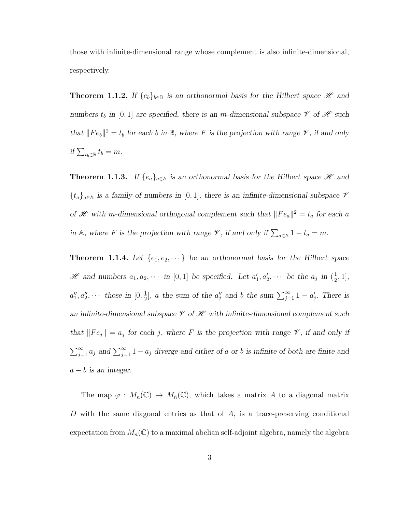those with infinite-dimensional range whose complement is also infinite-dimensional, respectively.

**Theorem 1.1.2.** If  $\{e_b\}_{b\in\mathbb{B}}$  is an orthonormal basis for the Hilbert space  $\mathcal{H}$  and numbers  $t_b$  in [0, 1] are specified, there is an m-dimensional subspace  $\mathscr V$  of  $\mathscr H$  such that  $||Fe_b||^2 = t_b$  for each b in B, where F is the projection with range  $\mathscr V$ , if and only if  $\sum_{t_b \in \mathbb{B}} t_b = m$ .

**Theorem 1.1.3.** If  $\{e_a\}_{a \in \mathbb{A}}$  is an orthonormal basis for the Hilbert space  $\mathcal{H}$  and  $\{t_a\}_{a\in\mathbb{A}}$  is a family of numbers in [0,1], there is an infinite-dimensional subspace  $\mathscr V$ of H with m-dimensional orthogonal complement such that  $||Fe_{a}||^{2} = t_{a}$  for each a in A, where F is the projection with range  $\mathscr V$ , if and only if  $\sum_{a\in A} 1 - t_a = m$ .

**Theorem 1.1.4.** Let  $\{e_1, e_2, \dots\}$  be an orthonormal basis for the Hilbert space *H* and numbers  $a_1, a_2, \cdots$  in [0, 1] be specified. Let  $a'_1, a'_2, \cdots$  be the  $a_j$  in  $(\frac{1}{2})$  $\frac{1}{2}, 1],$  $a''_1, a''_2, \cdots \text{ those in } [0, \frac{1}{2}]$  $\frac{1}{2}$ , a the sum of the  $a''_j$  and b the sum  $\sum_{j=1}^{\infty} 1 - a'_j$ . There is an infinite-dimensional subspace  $\mathscr V$  of  $\mathscr H$  with infinite-dimensional complement such that  $||Fe_j|| = a_j$  for each j, where F is the projection with range  $\mathscr V$ , if and only if  $\sum_{j=1}^{\infty} a_j$  and  $\sum_{j=1}^{\infty} 1 - a_j$  diverge and either of a or b is infinite of both are finite and  $a - b$  is an integer.

The map  $\varphi: M_n(\mathbb{C}) \to M_n(\mathbb{C})$ , which takes a matrix A to a diagonal matrix D with the same diagonal entries as that of  $A$ , is a trace-preserving conditional expectation from  $M_n(\mathbb{C})$  to a maximal abelian self-adjoint algebra, namely the algebra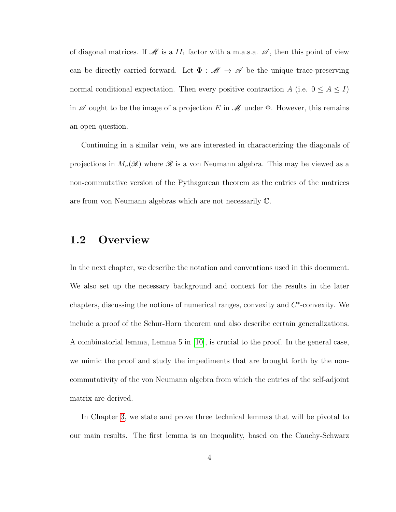of diagonal matrices. If  $\mathcal M$  is a  $II_1$  factor with a m.a.s.a.  $\mathcal A$ , then this point of view can be directly carried forward. Let  $\Phi : \mathcal{M} \to \mathcal{A}$  be the unique trace-preserving normal conditional expectation. Then every positive contraction A (i.e.  $0 \le A \le I$ ) in  $\mathscr A$  ought to be the image of a projection E in  $\mathscr M$  under  $\Phi$ . However, this remains an open question.

Continuing in a similar vein, we are interested in characterizing the diagonals of projections in  $M_n(\mathscr{R})$  where  $\mathscr{R}$  is a von Neumann algebra. This may be viewed as a non-commutative version of the Pythagorean theorem as the entries of the matrices are from von Neumann algebras which are not necessarily C.

#### <span id="page-12-0"></span>1.2 Overview

In the next chapter, we describe the notation and conventions used in this document. We also set up the necessary background and context for the results in the later chapters, discussing the notions of numerical ranges, convexity and  $C^*$ -convexity. We include a proof of the Schur-Horn theorem and also describe certain generalizations. A combinatorial lemma, Lemma 5 in [\[10\]](#page-73-0), is crucial to the proof. In the general case, we mimic the proof and study the impediments that are brought forth by the noncommutativity of the von Neumann algebra from which the entries of the self-adjoint matrix are derived.

In Chapter [3,](#page-23-0) we state and prove three technical lemmas that will be pivotal to our main results. The first lemma is an inequality, based on the Cauchy-Schwarz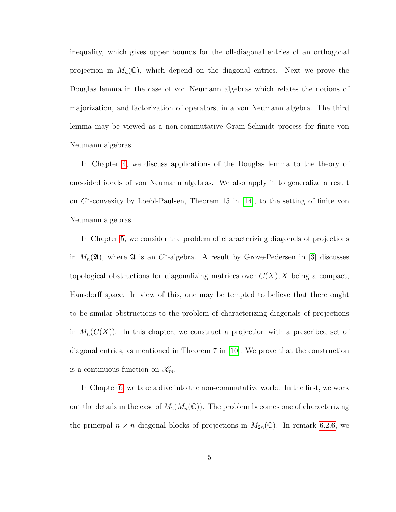inequality, which gives upper bounds for the off-diagonal entries of an orthogonal projection in  $M_n(\mathbb{C})$ , which depend on the diagonal entries. Next we prove the Douglas lemma in the case of von Neumann algebras which relates the notions of majorization, and factorization of operators, in a von Neumann algebra. The third lemma may be viewed as a non-commutative Gram-Schmidt process for finite von Neumann algebras.

In Chapter [4,](#page-33-0) we discuss applications of the Douglas lemma to the theory of one-sided ideals of von Neumann algebras. We also apply it to generalize a result on  $C^*$ -convexity by Loebl-Paulsen, Theorem 15 in [\[14\]](#page-73-2), to the setting of finite von Neumann algebras.

In Chapter [5,](#page-48-0) we consider the problem of characterizing diagonals of projections in  $M_n(\mathfrak{A})$ , where  $\mathfrak A$  is an C<sup>\*</sup>-algebra. A result by Grove-Pedersen in [\[3\]](#page-72-0) discusses topological obstructions for diagonalizing matrices over  $C(X)$ , X being a compact, Hausdorff space. In view of this, one may be tempted to believe that there ought to be similar obstructions to the problem of characterizing diagonals of projections in  $M_n(C(X))$ . In this chapter, we construct a projection with a prescribed set of diagonal entries, as mentioned in Theorem 7 in [\[10\]](#page-73-0). We prove that the construction is a continuous function on  $\mathscr{K}_m$ .

In Chapter [6,](#page-59-0) we take a dive into the non-commutative world. In the first, we work out the details in the case of  $M_2(M_n(\mathbb{C}))$ . The problem becomes one of characterizing the principal  $n \times n$  diagonal blocks of projections in  $M_{2n}(\mathbb{C})$ . In remark [6.2.6,](#page-70-0) we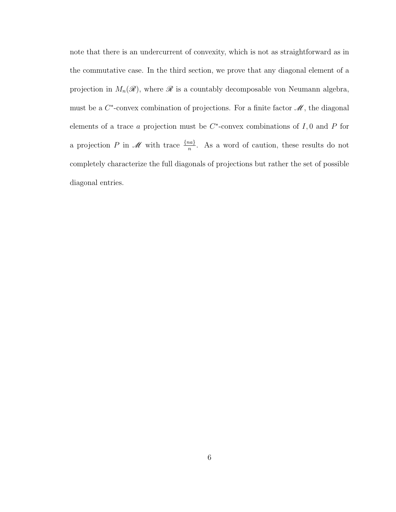note that there is an undercurrent of convexity, which is not as straightforward as in the commutative case. In the third section, we prove that any diagonal element of a projection in  $M_n(\mathscr{R})$ , where  $\mathscr R$  is a countably decomposable von Neumann algebra, must be a  $C^*$ -convex combination of projections. For a finite factor  $\mathcal M$ , the diagonal elements of a trace a projection must be  $C^*$ -convex combinations of  $I$ , 0 and  $P$  for a projection P in M with trace  $\frac{\{na\}}{n}$ . As a word of caution, these results do not completely characterize the full diagonals of projections but rather the set of possible diagonal entries.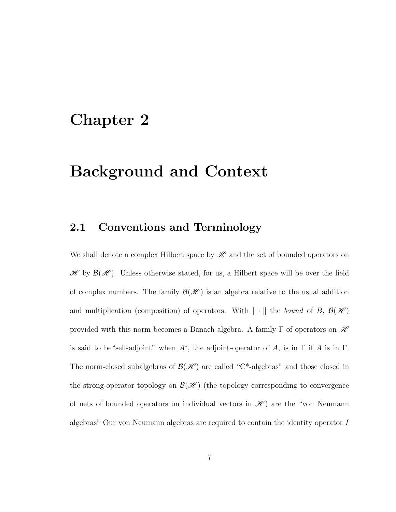## <span id="page-15-0"></span>Chapter 2

## Background and Context

#### <span id="page-15-1"></span>2.1 Conventions and Terminology

We shall denote a complex Hilbert space by  $\mathscr H$  and the set of bounded operators on  $\mathscr{H}$  by  $\mathcal{B}(\mathscr{H})$ . Unless otherwise stated, for us, a Hilbert space will be over the field of complex numbers. The family  $\mathcal{B}(\mathcal{H})$  is an algebra relative to the usual addition and multiplication (composition) of operators. With  $\|\cdot\|$  the bound of B,  $\mathcal{B}(\mathcal{H})$ provided with this norm becomes a Banach algebra. A family  $\Gamma$  of operators on  $\mathscr H$ is said to be "self-adjoint" when  $A^*$ , the adjoint-operator of A, is in  $\Gamma$  if A is in  $\Gamma$ . The norm-closed subalgebras of  $\mathcal{B}(\mathcal{H})$  are called "C<sup>\*</sup>-algebras" and those closed in the strong-operator topology on  $\mathcal{B}(\mathcal{H})$  (the topology corresponding to convergence of nets of bounded operators on individual vectors in  $\mathscr{H}$  are the "von Neumann algebras" Our von Neumann algebras are required to contain the identity operator I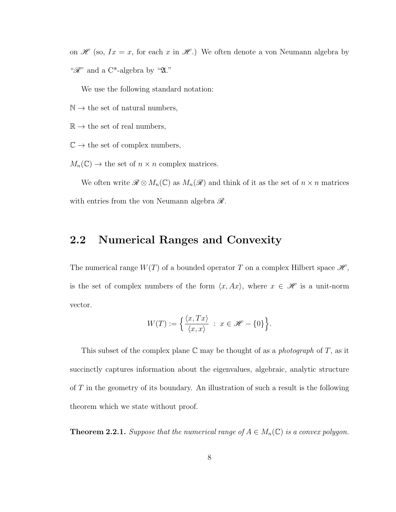on  $\mathscr{H}$  (so,  $Ix = x$ , for each x in  $\mathscr{H}$ .) We often denote a von Neumann algebra by " $\mathscr{R}$ " and a C<sup>\*</sup>-algebra by " $\mathfrak{A}$ ."

We use the following standard notation:

 $\mathbb{N} \to$  the set of natural numbers,

 $\mathbb{R} \to$  the set of real numbers,

 $\mathbb{C} \rightarrow$  the set of complex numbers,

 $M_n(\mathbb{C}) \to$  the set of  $n \times n$  complex matrices.

We often write  $\mathscr{R} \otimes M_n(\mathbb{C})$  as  $M_n(\mathscr{R})$  and think of it as the set of  $n \times n$  matrices with entries from the von Neumann algebra  $\mathscr{R}$ .

#### <span id="page-16-0"></span>2.2 Numerical Ranges and Convexity

The numerical range  $W(T)$  of a bounded operator T on a complex Hilbert space  $\mathscr{H}$ , is the set of complex numbers of the form  $\langle x, Ax \rangle$ , where  $x \in \mathcal{H}$  is a unit-norm vector.

$$
W(T) := \left\{ \frac{\langle x, Tx \rangle}{\langle x, x \rangle} : x \in \mathcal{H} - \{0\} \right\}.
$$

This subset of the complex plane  $\mathbb C$  may be thought of as a *photograph* of T, as it succinctly captures information about the eigenvalues, algebraic, analytic structure of T in the geometry of its boundary. An illustration of such a result is the following theorem which we state without proof.

**Theorem 2.2.1.** Suppose that the numerical range of  $A \in M_n(\mathbb{C})$  is a convex polygon.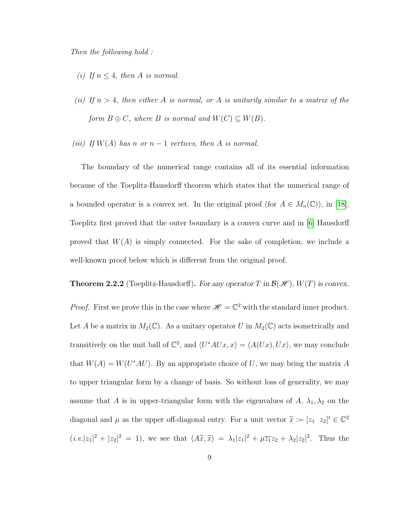- (i) If  $n \leq 4$ , then A is normal.
- (ii) If  $n > 4$ , then either A is normal, or A is unitarily similar to a matrix of the form  $B \oplus C$ , where B is normal and  $W(C) \subseteq W(B)$ .
- (iii) If  $W(A)$  has n or  $n-1$  vertices, then A is normal.

The boundary of the numerical range contains all of its essential information because of the Toeplitz-Hausdorff theorem which states that the numerical range of a bounded operator is a convex set. In the original proof (for  $A \in M_n(\mathbb{C})$ ), in [\[18\]](#page-74-0), Toeplitz first proved that the outer boundary is a convex curve and in [\[6\]](#page-72-1) Hausdorff proved that  $W(A)$  is simply connected. For the sake of completion, we include a well-known proof below which is different from the original proof.

**Theorem 2.2.2** (Toeplitz-Hausdorff). For any operator T in  $\mathcal{B}(\mathcal{H})$ ,  $W(T)$  is convex. *Proof.* First we prove this in the case where  $\mathcal{H} = \mathbb{C}^2$  with the standard inner product. Let A be a matrix in  $M_2(\mathbb{C})$ . As a unitary operator U in  $M_2(\mathbb{C})$  acts isometrically and transitively on the unit ball of  $\mathbb{C}^2$ , and  $\langle U^* A U x, x \rangle = \langle A(Ux), Ux \rangle$ , we may conclude that  $W(A) = W(U^*AU)$ . By an appropriate choice of U, we may bring the matrix A to upper triangular form by a change of basis. So without loss of generality, we may assume that A is in upper-triangular form with the eigenvalues of A,  $\lambda_1, \lambda_2$  on the diagonal and  $\mu$  as the upper off-diagonal entry. For a unit vector  $\tilde{x} := [z_1 \ z_2]^t \in \mathbb{C}^2$  $(i.e.|z_1|^2 + |z_2|^2 = 1)$ , we see that  $\langle A\tilde{x}, \tilde{x}\rangle = \lambda_1 |z_1|^2 + \mu \overline{z_1} z_2 + \lambda_2 |z_2|^2$ . Thus the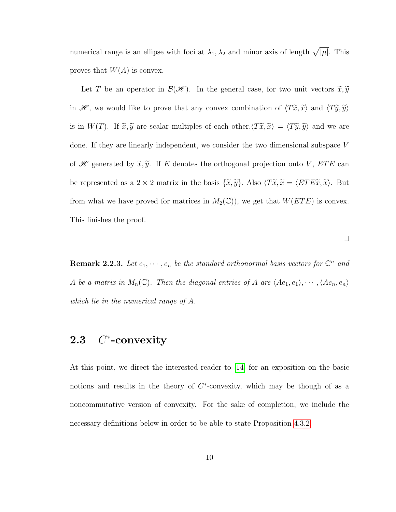numerical range is an ellipse with foci at  $\lambda_1, \lambda_2$  and minor axis of length  $\sqrt{|\mu|}$ . This proves that  $W(A)$  is convex.

Let T be an operator in  $\mathcal{B}(\mathcal{H})$ . In the general case, for two unit vectors  $\widetilde{x}, \widetilde{y}$ in  $\mathscr{H}$ , we would like to prove that any convex combination of  $\langle T\widetilde{x}, \widetilde{x}\rangle$  and  $\langle T\widetilde{y}, \widetilde{y}\rangle$ is in  $W(T)$ . If  $\tilde{x}, \tilde{y}$  are scalar multiples of each other, $\langle T\tilde{x}, \tilde{x} \rangle = \langle T\tilde{y}, \tilde{y} \rangle$  and we are done. If they are linearly independent, we consider the two dimensional subspace V of H generated by  $\tilde{x}, \tilde{y}$ . If E denotes the orthogonal projection onto V, ETE can be represented as a  $2 \times 2$  matrix in the basis  $\{\tilde{x}, \tilde{y}\}\$ . Also  $\langle T\tilde{x}, \tilde{x} = \langle ETE\tilde{x}, \tilde{x} \rangle$ . But from what we have proved for matrices in  $M_2(\mathbb{C})$ , we get that  $W(ETE)$  is convex. This finishes the proof.

 $\Box$ 

**Remark 2.2.3.** Let  $e_1, \dots, e_n$  be the standard orthonormal basis vectors for  $\mathbb{C}^n$  and A be a matrix in  $M_n(\mathbb{C})$ . Then the diagonal entries of A are  $\langle Ae_1, e_1 \rangle, \cdots, \langle Ae_n, e_n \rangle$ which lie in the numerical range of A.

#### <span id="page-18-0"></span>2.3 ∗ -convexity

At this point, we direct the interested reader to [\[14\]](#page-73-2) for an exposition on the basic notions and results in the theory of  $C^*$ -convexity, which may be though of as a noncommutative version of convexity. For the sake of completion, we include the necessary definitions below in order to be able to state Proposition [4.3.2.](#page-46-0)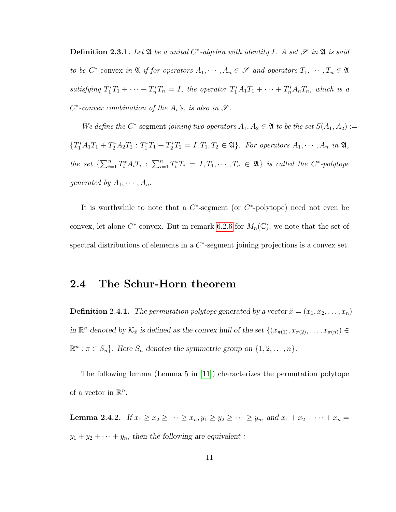**Definition 2.3.1.** Let  $\mathfrak A$  be a unital C<sup>\*</sup>-algebra with identity I. A set  $\mathscr S$  in  $\mathfrak A$  is said to be C<sup>\*</sup>-convex in  $\mathfrak A$  if for operators  $A_1, \cdots, A_n \in \mathscr S$  and operators  $T_1, \cdots, T_n \in \mathfrak A$ satisfying  $T_1^*T_1 + \cdots + T_n^*T_n = I$ , the operator  $T_1^*A_1T_1 + \cdots + T_n^*A_nT_n$ , which is a  $C^*$ -convex combination of the  $A_i$ 's, is also in  $\mathscr{S}$ .

We define the C<sup>\*</sup>-segment joining two operators  $A_1, A_2 \in \mathfrak{A}$  to be the set  $S(A_1, A_2) :=$  ${T_1^*A_1T_1 + T_2^*A_2T_2 : T_1^*T_1 + T_2^*T_2 = I, T_1, T_2 \in \mathfrak{A}}.$  For operators  $A_1, \dots, A_n$  in  $\mathfrak{A},$ the set  $\{\sum_{i=1}^n T_i^* A_i T_i : \sum_{i=1}^n T_i^* T_i = I, T_1, \cdots, T_n \in \mathfrak{A}\}\$ is called the  $C^*$ -polytope generated by  $A_1, \cdots, A_n$ .

It is worthwhile to note that a  $C^*$ -segment (or  $C^*$ -polytope) need not even be convex, let alone C<sup>\*</sup>-convex. But in remark [6.2.6](#page-70-0) for  $M_n(\mathbb{C})$ , we note that the set of spectral distributions of elements in a  $C^*$ -segment joining projections is a convex set.

#### <span id="page-19-0"></span>2.4 The Schur-Horn theorem

**Definition 2.4.1.** The permutation polytope generated by a vector  $\tilde{x} = (x_1, x_2, \ldots, x_n)$ in  $\mathbb{R}^n$  denoted by  $\mathcal{K}_{\tilde{x}}$  is defined as the convex hull of the set  $\{(x_{\pi(1)}, x_{\pi(2)}, \ldots, x_{\pi(n)}) \in$  $\mathbb{R}^n : \pi \in S_n$ . Here  $S_n$  denotes the symmetric group on  $\{1, 2, \ldots, n\}$ .

The following lemma (Lemma 5 in [\[11\]](#page-73-1)) characterizes the permutation polytope of a vector in  $\mathbb{R}^n$ .

<span id="page-19-1"></span>**Lemma 2.4.2.** If  $x_1 \ge x_2 \ge \cdots \ge x_n, y_1 \ge y_2 \ge \cdots \ge y_n$ , and  $x_1 + x_2 + \cdots + x_n =$  $y_1 + y_2 + \cdots + y_n$ , then the following are equivalent :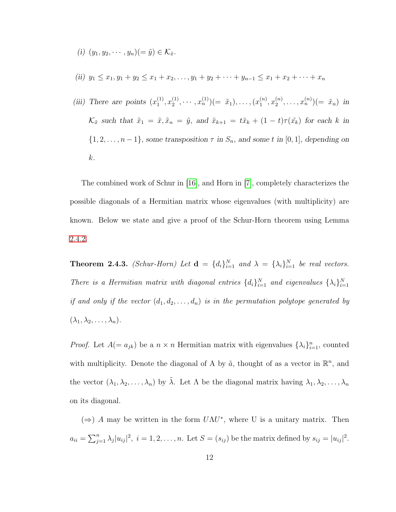- (i)  $(y_1, y_2, \dots, y_n)(=\tilde{y}) \in \mathcal{K}_{\tilde{x}}$ .
- (ii)  $y_1 \leq x_1, y_1 + y_2 \leq x_1 + x_2, \ldots, y_1 + y_2 + \cdots + y_{n-1} \leq x_1 + x_2 + \cdots + x_n$
- (iii) There are points  $(x_1^{(1)})$  $\binom{1}{1}, x_2^{(1)}$  $(x_2^{(1)}, \cdots, x_n^{(1)}) (= \tilde{x}_1), \ldots, (x_1^{(n)})$  $\binom{n}{1}, x_2^{(n)}$  $\binom{n}{2}, \ldots, x_n^{(n)}$  $(=\tilde{x}_n)$  in  $\mathcal{K}_{\tilde{x}}$  such that  $\tilde{x}_1 = \tilde{x}, \tilde{x}_n = \tilde{y}$ , and  $\tilde{x}_{k+1} = t\tilde{x}_k + (1-t)\tau(\tilde{x}_k)$  for each k in  $\{1, 2, \ldots, n-1\}$ , some transposition  $\tau$  in  $S_n$ , and some t in [0, 1], depending on k.

The combined work of Schur in [\[16\]](#page-74-1), and Horn in [\[7\]](#page-73-3), completely characterizes the possible diagonals of a Hermitian matrix whose eigenvalues (with multiplicity) are known. Below we state and give a proof of the Schur-Horn theorem using Lemma [2.4.2.](#page-19-1)

**Theorem 2.4.3.** (Schur-Horn) Let  $\mathbf{d} = \{d_i\}_{i=1}^N$  and  $\lambda = \{\lambda_i\}_{i=1}^N$  be real vectors. There is a Hermitian matrix with diagonal entries  $\{d_i\}_{i=1}^N$  and eigenvalues  $\{\lambda_i\}_{i=1}^N$ if and only if the vector  $(d_1, d_2, \ldots, d_n)$  is in the permutation polytope generated by  $(\lambda_1, \lambda_2, \ldots, \lambda_n).$ 

*Proof.* Let  $A(=a_{jk})$  be a  $n \times n$  Hermitian matrix with eigenvalues  $\{\lambda_i\}_{i=1}^n$ , counted with multiplicity. Denote the diagonal of A by  $\tilde{a}$ , thought of as a vector in  $\mathbb{R}^n$ , and the vector  $(\lambda_1, \lambda_2, \ldots, \lambda_n)$  by  $\lambda$ . Let  $\Lambda$  be the diagonal matrix having  $\lambda_1, \lambda_2, \ldots, \lambda_n$ on its diagonal.

 $(\Rightarrow)$  A may be written in the form  $U\Lambda U^*$ , where U is a unitary matrix. Then  $a_{ii} = \sum_{j=1}^n \lambda_j |u_{ij}|^2$ ,  $i = 1, 2, \ldots, n$ . Let  $S = (s_{ij})$  be the matrix defined by  $s_{ij} = |u_{ij}|^2$ .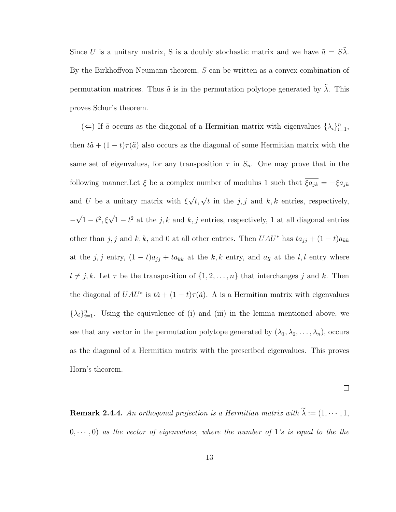Since U is a unitary matrix, S is a doubly stochastic matrix and we have  $\tilde{a} = S\tilde{\lambda}$ . By the Birkhoffvon Neumann theorem, S can be written as a convex combination of permutation matrices. Thus  $\tilde{a}$  is in the permutation polytope generated by  $\tilde{\lambda}$ . This proves Schur's theorem.

( $\Leftarrow$ ) If  $\tilde{a}$  occurs as the diagonal of a Hermitian matrix with eigenvalues  $\{\lambda_i\}_{i=1}^n$ , then  $t\tilde{a} + (1 - t)\tau(\tilde{a})$  also occurs as the diagonal of some Hermitian matrix with the same set of eigenvalues, for any transposition  $\tau$  in  $S_n$ . One may prove that in the following manner.Let  $\xi$  be a complex number of modulus 1 such that  $\overline{\xi a_{jk}} = -\xi a_{jk}$ and U be a unitary matrix with  $\xi$  $\sqrt{t}$ ,  $\sqrt{t}$  in the j, j and k, k entries, respectively, − √  $\overline{1-t^2}, \xi\sqrt{1-t^2}$  at the j, k and k, j entries, respectively, 1 at all diagonal entries other than j, j and k, k, and 0 at all other entries. Then  $UAU^*$  has  $ta_{jj} + (1-t)a_{kk}$ at the j, j entry,  $(1-t)a_{jj} + ta_{kk}$  at the k, k entry, and  $a_{ll}$  at the l, l entry where  $l \neq j, k$ . Let  $\tau$  be the transposition of  $\{1, 2, \ldots, n\}$  that interchanges j and k. Then the diagonal of  $UAU^*$  is  $t\tilde{a} + (1-t)\tau(\tilde{a})$ . A is a Hermitian matrix with eigenvalues  $\{\lambda_i\}_{i=1}^n$ . Using the equivalence of (i) and (iii) in the lemma mentioned above, we see that any vector in the permutation polytope generated by  $(\lambda_1, \lambda_2, \ldots, \lambda_n)$ , occurs as the diagonal of a Hermitian matrix with the prescribed eigenvalues. This proves Horn's theorem.

 $\Box$ 

**Remark 2.4.4.** An orthogonal projection is a Hermitian matrix with  $\tilde{\lambda} := (1, \dots, 1, \dots)$  $(0, \dots, 0)$  as the vector of eigenvalues, where the number of 1's is equal to the the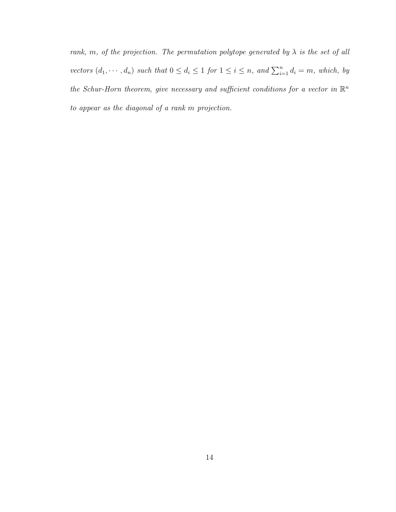rank, m, of the projection. The permutation polytope generated by  $\lambda$  is the set of all vectors  $(d_1, \dots, d_n)$  such that  $0 \leq d_i \leq 1$  for  $1 \leq i \leq n$ , and  $\sum_{i=1}^n d_i = m$ , which, by the Schur-Horn theorem, give necessary and sufficient conditions for a vector in  $\mathbb{R}^n$ to appear as the diagonal of a rank m projection.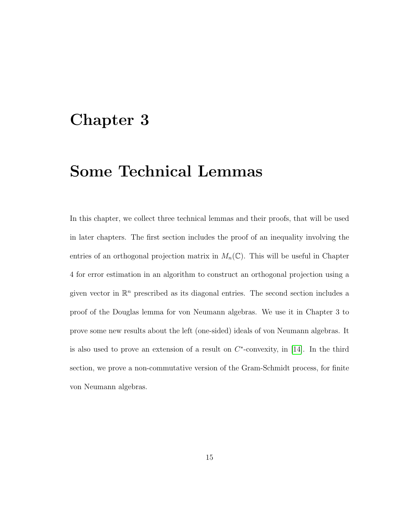## <span id="page-23-0"></span>Chapter 3

## Some Technical Lemmas

In this chapter, we collect three technical lemmas and their proofs, that will be used in later chapters. The first section includes the proof of an inequality involving the entries of an orthogonal projection matrix in  $M_n(\mathbb{C})$ . This will be useful in Chapter 4 for error estimation in an algorithm to construct an orthogonal projection using a given vector in  $\mathbb{R}^n$  prescribed as its diagonal entries. The second section includes a proof of the Douglas lemma for von Neumann algebras. We use it in Chapter 3 to prove some new results about the left (one-sided) ideals of von Neumann algebras. It is also used to prove an extension of a result on  $C^*$ -convexity, in [\[14\]](#page-73-2). In the third section, we prove a non-commutative version of the Gram-Schmidt process, for finite von Neumann algebras.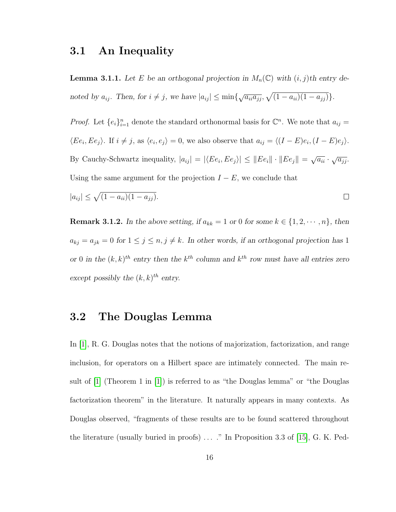#### <span id="page-24-0"></span>3.1 An Inequality

**Lemma 3.1.1.** Let E be an orthogonal projection in  $M_n(\mathbb{C})$  with  $(i, j)$ th entry denoted by  $a_{ij}$ . Then, for  $i \neq j$ , we have  $|a_{ij}| \leq \min\{\sqrt{a_{ii}a_{jj}}, \sqrt{(1-a_{ii})(1-a_{jj})}\}.$ 

*Proof.* Let  $\{e_i\}_{i=1}^n$  denote the standard orthonormal basis for  $\mathbb{C}^n$ . We note that  $a_{ij} =$  $\langle E e_i, E e_j \rangle$ . If  $i \neq j$ , as  $\langle e_i, e_j \rangle = 0$ , we also observe that  $a_{ij} = \langle (I - E) e_i, (I - E) e_j \rangle$ . By Cauchy-Schwartz inequality,  $|a_{ij}| = |\langle E e_i, E e_j \rangle| \leq ||E e_i|| \cdot ||E e_j|| = \sqrt{a_{ii}} \cdot \sqrt{a_{jj}}$ . Using the same argument for the projection  $I - E$ , we conclude that

$$
|a_{ij}| \leq \sqrt{(1 - a_{ii})(1 - a_{jj})}.
$$

**Remark 3.1.2.** In the above setting, if  $a_{kk} = 1$  or 0 for some  $k \in \{1, 2, \dots, n\}$ , then  $a_{kj} = a_{jk} = 0$  for  $1 \le j \le n, j \ne k$ . In other words, if an orthogonal projection has 1 or 0 in the  $(k, k)$ <sup>th</sup> entry then the  $k$ <sup>th</sup> column and  $k$ <sup>th</sup> row must have all entries zero except possibly the  $(k, k)^{th}$  entry.

#### <span id="page-24-1"></span>3.2 The Douglas Lemma

In [\[1\]](#page-72-2), R. G. Douglas notes that the notions of majorization, factorization, and range inclusion, for operators on a Hilbert space are intimately connected. The main result of [\[1\]](#page-72-2) (Theorem 1 in [\[1\]](#page-72-2)) is referred to as "the Douglas lemma" or "the Douglas factorization theorem" in the literature. It naturally appears in many contexts. As Douglas observed, "fragments of these results are to be found scattered throughout the literature (usually buried in proofs)  $\dots$  ." In Proposition 3.3 of [\[15\]](#page-74-2), G. K. Ped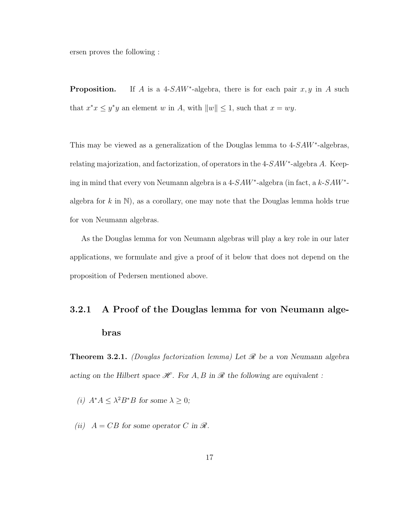ersen proves the following :

**Proposition.** If A is a 4-SAW<sup>\*</sup>-algebra, there is for each pair  $x, y$  in A such that  $x^*x \leq y^*y$  an element w in A, with  $||w|| \leq 1$ , such that  $x = wy$ .

This may be viewed as a generalization of the Douglas lemma to  $4-SAW^*$ -algebras, relating majorization, and factorization, of operators in the  $4-SAW^*$ -algebra A. Keeping in mind that every von Neumann algebra is a  $4-SAW^*$ -algebra (in fact, a  $k-SAW^*$ algebra for  $k$  in  $\mathbb{N}$ , as a corollary, one may note that the Douglas lemma holds true for von Neumann algebras.

As the Douglas lemma for von Neumann algebras will play a key role in our later applications, we formulate and give a proof of it below that does not depend on the proposition of Pedersen mentioned above.

## <span id="page-25-0"></span>3.2.1 A Proof of the Douglas lemma for von Neumann algebras

**Theorem 3.2.1.** (Douglas factorization lemma) Let  $\mathcal{R}$  be a von Neumann algebra acting on the Hilbert space  $\mathcal{H}$ . For A, B in  $\mathcal{R}$  the following are equivalent :

(i)  $A^*A \leq \lambda^2 B^*B$  for some  $\lambda \geq 0$ ;

(ii)  $A = CB$  for some operator C in  $\mathcal{R}$ .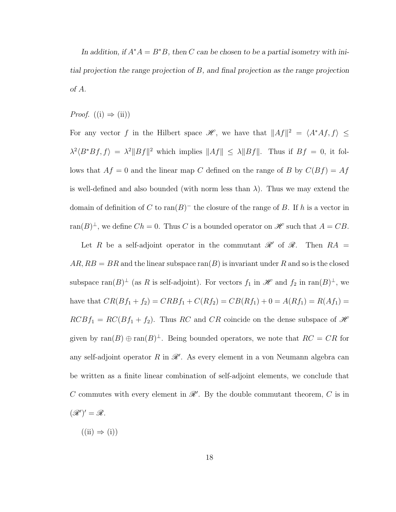In addition, if  $A^*A = B^*B$ , then C can be chosen to be a partial isometry with initial projection the range projection of B, and final projection as the range projection of A.

*Proof.*  $((i) \Rightarrow (ii))$ 

For any vector f in the Hilbert space  $\mathscr{H}$ , we have that  $||Af||^2 = \langle A^*Af, f \rangle \le$  $\lambda^2 \langle B^* B f, f \rangle = \lambda^2 \|Bf\|^2$  which implies  $\|Af\| \le \lambda \|Bf\|$ . Thus if  $Bf = 0$ , it follows that  $Af = 0$  and the linear map C defined on the range of B by  $C(Bf) = Af$ is well-defined and also bounded (with norm less than  $\lambda$ ). Thus we may extend the domain of definition of C to ran(B)<sup>-</sup> the closure of the range of B. If h is a vector in ran $(B)^{\perp}$ , we define  $Ch = 0$ . Thus C is a bounded operator on  $\mathscr{H}$  such that  $A = CB$ .

Let R be a self-adjoint operator in the commutant  $\mathscr{R}'$  of  $\mathscr{R}$ . Then  $RA =$  $AR, RB = BR$  and the linear subspace  $ran(B)$  is invariant under R and so is the closed subspace  $\text{ran}(B)^{\perp}$  (as R is self-adjoint). For vectors  $f_1$  in  $\mathscr{H}$  and  $f_2$  in  $\text{ran}(B)^{\perp}$ , we have that  $CR(Bf_1 + f_2) = CRBf_1 + C(Rf_2) = CB(Rf_1) + 0 = A(Rf_1) = R(Af_1) =$  $RCBf_1 = RC(Bf_1 + f_2)$ . Thus RC and CR coincide on the dense subspace of  $H$ given by  $\text{ran}(B) \oplus \text{ran}(B)^{\perp}$ . Being bounded operators, we note that  $RC = CR$  for any self-adjoint operator R in  $\mathcal{R}'$ . As every element in a von Neumann algebra can be written as a finite linear combination of self-adjoint elements, we conclude that C commutes with every element in  $\mathcal{R}'$ . By the double commutant theorem, C is in  $(\mathscr{R}')'=\mathscr{R}.$ 

 $((ii) \Rightarrow (i))$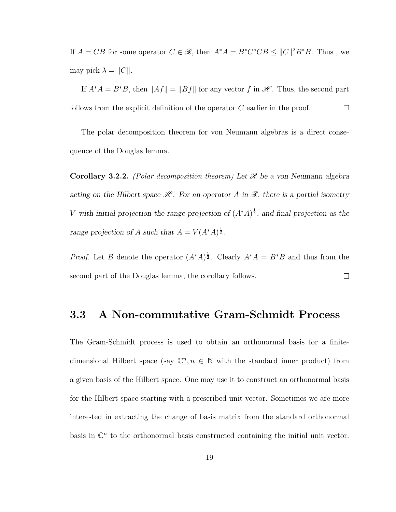If  $A = CB$  for some operator  $C \in \mathcal{R}$ , then  $A^*A = B^*C^*CB \leq ||C||^2B^*B$ . Thus, we may pick  $\lambda = ||C||$ .

If  $A^*A = B^*B$ , then  $||Af|| = ||Bf||$  for any vector f in  $\mathcal H$ . Thus, the second part  $\Box$ follows from the explicit definition of the operator C earlier in the proof.

The polar decomposition theorem for von Neumann algebras is a direct consequence of the Douglas lemma.

**Corollary 3.2.2.** (Polar decomposition theorem) Let  $\mathcal{R}$  be a von Neumann algebra acting on the Hilbert space  $\mathcal H$ . For an operator A in  $\mathcal R$ , there is a partial isometry V with initial projection the range projection of  $(A^*A)^{\frac{1}{2}}$ , and final projection as the range projection of A such that  $A = V(A^*A)^{\frac{1}{2}}$ .

*Proof.* Let B denote the operator  $(A^*A)^{\frac{1}{2}}$ . Clearly  $A^*A = B^*B$  and thus from the second part of the Douglas lemma, the corollary follows.  $\Box$ 

#### <span id="page-27-0"></span>3.3 A Non-commutative Gram-Schmidt Process

The Gram-Schmidt process is used to obtain an orthonormal basis for a finitedimensional Hilbert space (say  $\mathbb{C}^n, n \in \mathbb{N}$  with the standard inner product) from a given basis of the Hilbert space. One may use it to construct an orthonormal basis for the Hilbert space starting with a prescribed unit vector. Sometimes we are more interested in extracting the change of basis matrix from the standard orthonormal basis in  $\mathbb{C}^n$  to the orthonormal basis constructed containing the initial unit vector.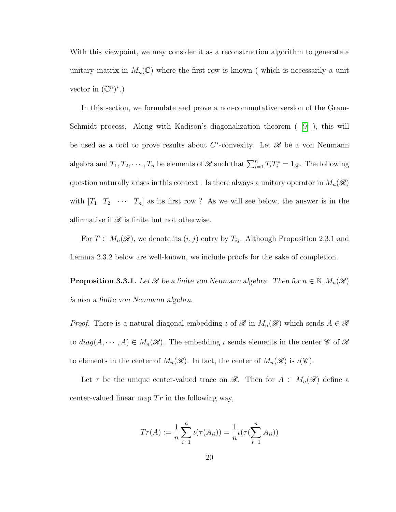With this viewpoint, we may consider it as a reconstruction algorithm to generate a unitary matrix in  $M_n(\mathbb{C})$  where the first row is known (which is necessarily a unit vector in  $(\mathbb{C}^n)^*$ .)

In this section, we formulate and prove a non-commutative version of the Gram-Schmidt process. Along with Kadison's diagonalization theorem ( [\[9\]](#page-73-4) ), this will be used as a tool to prove results about  $C^*$ -convexity. Let  $\mathscr R$  be a von Neumann algebra and  $T_1, T_2, \cdots, T_n$  be elements of  $\mathscr R$  such that  $\sum_{i=1}^n T_i T_i^* = 1_{\mathscr R}$ . The following question naturally arises in this context : Is there always a unitary operator in  $M_n(\mathscr{R})$ with  $[T_1 \quad T_2 \quad \cdots \quad T_n]$  as its first row ? As we will see below, the answer is in the affirmative if  $\mathscr R$  is finite but not otherwise.

For  $T \in M_n(\mathscr{R})$ , we denote its  $(i, j)$  entry by  $T_{ij}$ . Although Proposition 2.3.1 and Lemma 2.3.2 below are well-known, we include proofs for the sake of completion.

**Proposition 3.3.1.** Let  $\mathcal{R}$  be a finite von Neumann algebra. Then for  $n \in \mathbb{N}, M_n(\mathcal{R})$ is also a finite von Neumann algebra.

*Proof.* There is a natural diagonal embedding  $\iota$  of  $\mathcal{R}$  in  $M_n(\mathcal{R})$  which sends  $A \in \mathcal{R}$ to  $diag(A, \dots, A) \in M_n(\mathcal{R})$ . The embedding  $\iota$  sends elements in the center  $\mathcal{C}$  of  $\mathcal{R}$ to elements in the center of  $M_n(\mathscr{R})$ . In fact, the center of  $M_n(\mathscr{R})$  is  $\iota(\mathscr{C})$ .

Let  $\tau$  be the unique center-valued trace on  $\mathscr{R}$ . Then for  $A \in M_n(\mathscr{R})$  define a center-valued linear map  $Tr$  in the following way,

$$
Tr(A) := \frac{1}{n} \sum_{i=1}^{n} \iota(\tau(A_{ii})) = \frac{1}{n} \iota(\tau(\sum_{i=1}^{n} A_{ii}))
$$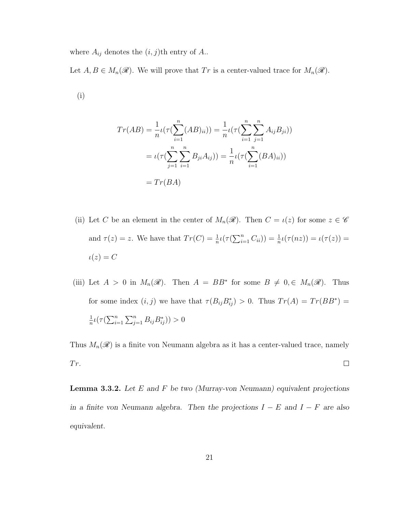where  $A_{ij}$  denotes the  $(i, j)$ th entry of A..

Let  $A, B \in M_n(\mathcal{R})$ . We will prove that  $Tr$  is a center-valued trace for  $M_n(\mathcal{R})$ .

(i)

$$
Tr(AB) = \frac{1}{n} \iota(\tau(\sum_{i=1}^{n} (AB)_{ii})) = \frac{1}{n} \iota(\tau(\sum_{i=1}^{n} \sum_{j=1}^{n} A_{ij} B_{ji}))
$$

$$
= \iota(\tau(\sum_{j=1}^{n} \sum_{i=1}^{n} B_{ji} A_{ij})) = \frac{1}{n} \iota(\tau(\sum_{i=1}^{n} (BA)_{ii}))
$$

$$
= Tr(BA)
$$

- (ii) Let C be an element in the center of  $M_n(\mathscr{R})$ . Then  $C = \iota(z)$  for some  $z \in \mathscr{C}$ and  $\tau(z) = z$ . We have that  $Tr(C) = \frac{1}{n} \iota(\tau(\sum_{i=1}^n C_{ii})) = \frac{1}{n} \iota(\tau(nz)) = \iota(\tau(z)) = i$  $\iota(z) = C$
- (iii) Let  $A > 0$  in  $M_n(\mathscr{R})$ . Then  $A = BB^*$  for some  $B \neq 0, \in M_n(\mathscr{R})$ . Thus for some index  $(i, j)$  we have that  $\tau(B_{ij}B_{ij}^*) > 0$ . Thus  $Tr(A) = Tr(BB^*) =$ 1  $\frac{1}{n} \iota(\tau(\sum_{i=1}^n \sum_{j=1}^n B_{ij} B_{ij}^*)) > 0$

Thus  $M_n(\mathscr{R})$  is a finite von Neumann algebra as it has a center-valued trace, namely  $Tr.$  $\Box$ 

**Lemma 3.3.2.** Let E and F be two (Murray-von Neumann) equivalent projections in a finite von Neumann algebra. Then the projections  $I - E$  and  $I - F$  are also equivalent.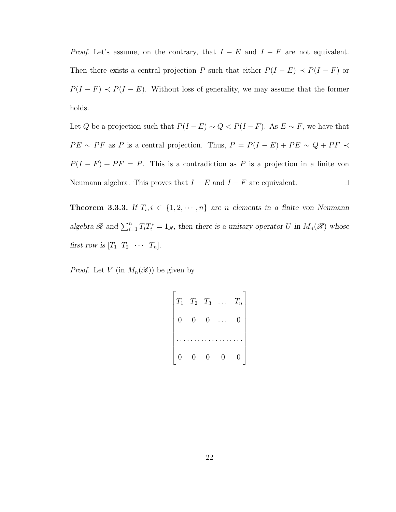*Proof.* Let's assume, on the contrary, that  $I - E$  and  $I - F$  are not equivalent. Then there exists a central projection P such that either  $P(I - E) \prec P(I - F)$  or  $P(I - F) \prec P(I - E)$ . Without loss of generality, we may assume that the former holds.

Let Q be a projection such that  $P(I - E) \sim Q < P(I - F)$ . As  $E \sim F$ , we have that  $PE \sim PF$  as P is a central projection. Thus,  $P = P(I - E) + PE \sim Q + PF \prec$  $P(I - F) + PF = P$ . This is a contradiction as P is a projection in a finite von Neumann algebra. This proves that  $I - E$  and  $I - F$  are equivalent.  $\Box$ 

**Theorem 3.3.3.** If  $T_i, i \in \{1, 2, \dots, n\}$  are n elements in a finite von Neumann algebra  $\mathscr R$  and  $\sum_{i=1}^n T_i T_i^* = 1_{\mathscr R}$ , then there is a unitary operator U in  $M_n(\mathscr R)$  whose first row is  $[T_1 \ T_2 \ \cdots \ T_n]$ .

*Proof.* Let V (in  $M_n(\mathscr{R})$ ) be given by

$$
\begin{bmatrix} T_1 & T_2 & T_3 & \dots & T_n \\ 0 & 0 & 0 & \dots & 0 \\ \vdots & \vdots & \vdots & \ddots & \vdots \\ 0 & 0 & 0 & 0 & 0 \end{bmatrix}
$$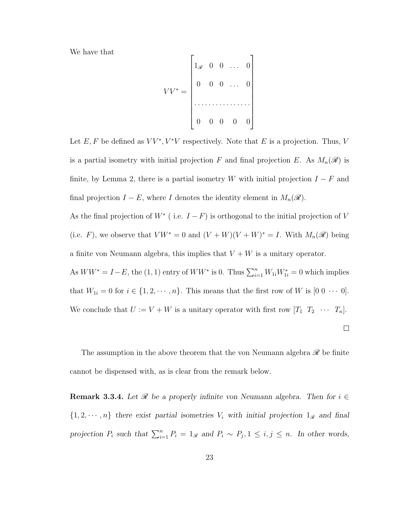We have that

$$
VV^* = \begin{bmatrix} 1_{\mathscr{R}} & 0 & 0 & \dots & 0 \\ 0 & 0 & 0 & \dots & 0 \\ \vdots & \vdots & \vdots & \ddots & \vdots \\ 0 & 0 & 0 & 0 & 0 \end{bmatrix}
$$

Let  $E, F$  be defined as  $VV^*, V^*V$  respectively. Note that E is a projection. Thus, V is a partial isometry with initial projection F and final projection E. As  $M_n(\mathscr{R})$  is finite, by Lemma 2, there is a partial isometry W with initial projection  $I - F$  and final projection  $I - E$ , where I denotes the identity element in  $M_n(\mathscr{R})$ .

As the final projection of  $W^*$  (i.e.  $I-F$ ) is orthogonal to the initial projection of V (i.e. F), we observe that  $V W^* = 0$  and  $(V + W)(V + W)^* = I$ . With  $M_n(\mathscr{R})$  being a finite von Neumann algebra, this implies that  $V + W$  is a unitary operator.

As  $WW^* = I - E$ , the (1, 1) entry of  $WW^*$  is 0. Thus  $\sum_{i=1}^n W_{1i}W_{1i}^* = 0$  which implies that  $W_{1i} = 0$  for  $i \in \{1, 2, \dots, n\}$ . This means that the first row of W is  $[0 \ 0 \ \cdots \ 0]$ . We conclude that  $U := V + W$  is a unitary operator with first row  $[T_1 \ T_2 \ \cdots \ T_n]$ .

 $\Box$ 

The assumption in the above theorem that the von Neumann algebra  $\mathscr R$  be finite cannot be dispensed with, as is clear from the remark below.

**Remark 3.3.4.** Let R be a properly infinite von Neumann algebra. Then for  $i \in$  $\{1, 2, \dots, n\}$  there exist partial isometries  $V_i$  with initial projection  $1_{\mathcal{R}}$  and final projection  $P_i$  such that  $\sum_{i=1}^n P_i = 1_{\mathcal{R}}$  and  $P_i \sim P_j, 1 \le i, j \le n$ . In other words,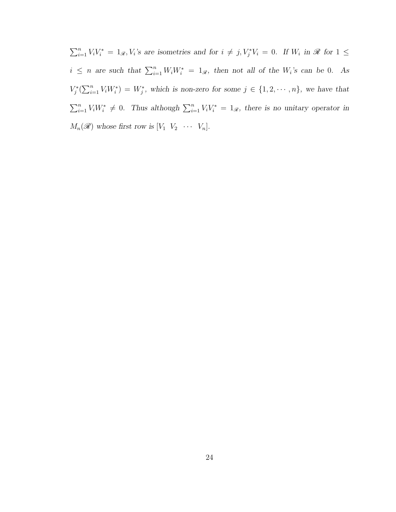$\sum_{i=1}^n V_i V_i^* = 1_{\mathscr{R}}, V_i$ 's are isometries and for  $i \neq j, V_j^* V_i = 0$ . If  $W_i$  in  $\mathscr{R}$  for  $1 \leq i \leq j$  $i \leq n$  are such that  $\sum_{i=1}^{n} W_i W_i^* = 1_{\mathcal{R}}$ , then not all of the  $W_i$ 's can be 0. As  $V_j^*(\sum_{i=1}^n V_i W_i^*) = W_j^*$ , which is non-zero for some  $j \in \{1, 2, \dots, n\}$ , we have that  $\sum_{i=1}^n V_i W_i^* \neq 0$ . Thus although  $\sum_{i=1}^n V_i V_i^* = 1_{\mathcal{R}}$ , there is no unitary operator in  $M_n(\mathscr{R})$  whose first row is  $[V_1 \quad V_2 \quad \cdots \quad V_n]$ .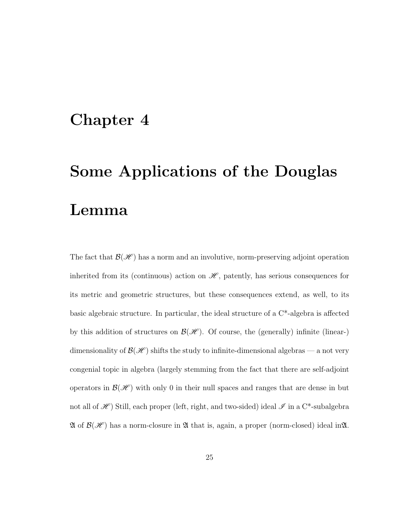## <span id="page-33-0"></span>Chapter 4

# Some Applications of the Douglas Lemma

The fact that  $\mathcal{B}(\mathscr{H})$  has a norm and an involutive, norm-preserving adjoint operation inherited from its (continuous) action on  $\mathcal{H}$ , patently, has serious consequences for its metric and geometric structures, but these consequences extend, as well, to its basic algebraic structure. In particular, the ideal structure of a C\*-algebra is affected by this addition of structures on  $\mathcal{B}(\mathcal{H})$ . Of course, the (generally) infinite (linear-) dimensionality of  $\mathcal{B}(\mathcal{H})$  shifts the study to infinite-dimensional algebras — a not very congenial topic in algebra (largely stemming from the fact that there are self-adjoint operators in  $\mathcal{B}(\mathcal{H})$  with only 0 in their null spaces and ranges that are dense in but not all of  $\mathscr{H}$ ) Still, each proper (left, right, and two-sided) ideal  $\mathscr{I}$  in a C<sup>\*</sup>-subalgebra  $\mathfrak{A}$  of  $\mathcal{B}(\mathscr{H})$  has a norm-closure in  $\mathfrak{A}$  that is, again, a proper (norm-closed) ideal in  $\mathfrak{A}$ .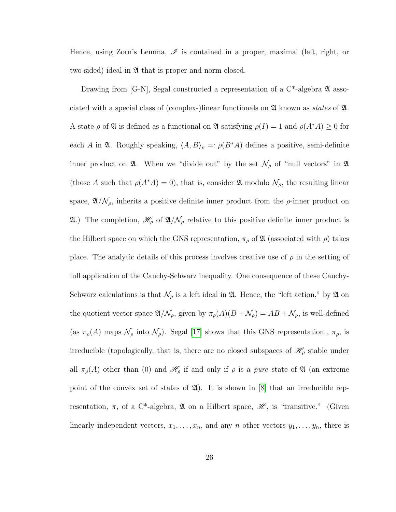Hence, using Zorn's Lemma,  $\mathscr I$  is contained in a proper, maximal (left, right, or two-sided) ideal in  $\mathfrak A$  that is proper and norm closed.

Drawing from [G-N], Segal constructed a representation of a  $C^*$ -algebra  $\mathfrak A$  associated with a special class of (complex-)linear functionals on  $\mathfrak A$  known as states of  $\mathfrak A$ . A state  $\rho$  of  $\mathfrak A$  is defined as a functional on  $\mathfrak A$  satisfying  $\rho(I) = 1$  and  $\rho(A^*A) \geq 0$  for each A in  $\mathfrak A$ . Roughly speaking,  $\langle A, B \rangle_\rho =: \rho(B^*A)$  defines a positive, semi-definite inner product on  $\mathfrak{A}$ . When we "divide out" by the set  $\mathcal{N}_{\rho}$  of "null vectors" in  $\mathfrak{A}$ (those A such that  $\rho(A^*A) = 0$ ), that is, consider  $\mathfrak A$  modulo  $\mathcal N_\rho$ , the resulting linear space,  $\mathfrak{A}/\mathcal{N}_{\rho}$ , inherits a positive definite inner product from the  $\rho$ -inner product on **2.**) The completion,  $\mathcal{H}_{\rho}$  of  $\mathfrak{A}/\mathcal{N}_{\rho}$  relative to this positive definite inner product is the Hilbert space on which the GNS representation,  $\pi_{\rho}$  of  $\mathfrak{A}$  (associated with  $\rho$ ) takes place. The analytic details of this process involves creative use of  $\rho$  in the setting of full application of the Cauchy-Schwarz inequality. One consequence of these Cauchy-Schwarz calculations is that  $\mathcal{N}_{\rho}$  is a left ideal in  $\mathfrak{A}$ . Hence, the "left action," by  $\mathfrak{A}$  on the quotient vector space  $\mathfrak{A}/\mathcal{N}_{\rho}$ , given by  $\pi_{\rho}(A)(B + \mathcal{N}_{\rho}) = AB + \mathcal{N}_{\rho}$ , is well-defined (as  $\pi_{\rho}(A)$  maps  $\mathcal{N}_{\rho}$  into  $\mathcal{N}_{\rho}$ ). Segal [\[17\]](#page-74-3) shows that this GNS representation,  $\pi_{\rho}$ , is irreducible (topologically, that is, there are no closed subspaces of  $\mathcal{H}_{\rho}$  stable under all  $\pi_{\rho}(A)$  other than (0) and  $\mathscr{H}_{\rho}$  if and only if  $\rho$  is a pure state of  $\mathfrak{A}$  (an extreme point of the convex set of states of  $\mathfrak{A}$ ). It is shown in [\[8\]](#page-73-5) that an irreducible representation,  $\pi$ , of a C<sup>\*</sup>-algebra,  $\mathfrak{A}$  on a Hilbert space,  $\mathscr{H}$ , is "transitive." (Given linearly independent vectors,  $x_1, \ldots, x_n$ , and any n other vectors  $y_1, \ldots, y_n$ , there is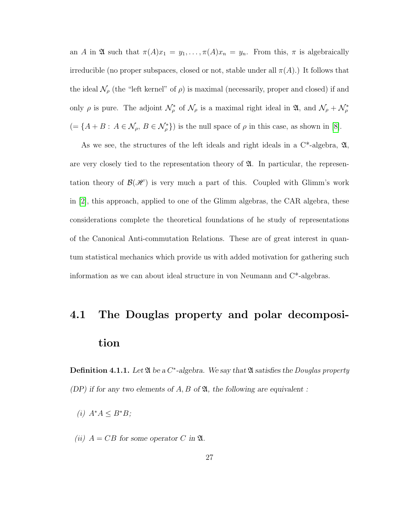an A in  $\mathfrak A$  such that  $\pi(A)x_1 = y_1, \ldots, \pi(A)x_n = y_n$ . From this,  $\pi$  is algebraically irreducible (no proper subspaces, closed or not, stable under all  $\pi(A)$ .) It follows that the ideal  $\mathcal{N}_{\rho}$  (the "left kernel" of  $\rho$ ) is maximal (necessarily, proper and closed) if and only  $\rho$  is pure. The adjoint  $\mathcal{N}_{\rho}^*$  of  $\mathcal{N}_{\rho}$  is a maximal right ideal in  $\mathfrak{A}$ , and  $\mathcal{N}_{\rho} + \mathcal{N}_{\rho}^*$  $(=\{A+B: A\in \mathcal{N}_{\rho}, B\in \mathcal{N}_{\rho}^*\})$  is the null space of  $\rho$  in this case, as shown in [\[8\]](#page-73-5).

As we see, the structures of the left ideals and right ideals in a  $C^*$ -algebra,  $\mathfrak{A}$ , are very closely tied to the representation theory of  $\mathfrak{A}$ . In particular, the representation theory of  $\mathcal{B}(\mathcal{H})$  is very much a part of this. Coupled with Glimm's work in [\[2\]](#page-72-3), this approach, applied to one of the Glimm algebras, the CAR algebra, these considerations complete the theoretical foundations of he study of representations of the Canonical Anti-commutation Relations. These are of great interest in quantum statistical mechanics which provide us with added motivation for gathering such information as we can about ideal structure in von Neumann and C\*-algebras.

# <span id="page-35-0"></span>4.1 The Douglas property and polar decomposition

**Definition 4.1.1.** Let  $\mathfrak A$  be a  $C^*$ -algebra. We say that  $\mathfrak A$  satisfies the Douglas property (DP) if for any two elements of  $A, B$  of  $\mathfrak{A}$ , the following are equivalent :

- (i)  $A^*A \leq B^*B$ ;
- (*ii*)  $A = CB$  for some operator C in  $\mathfrak{A}$ .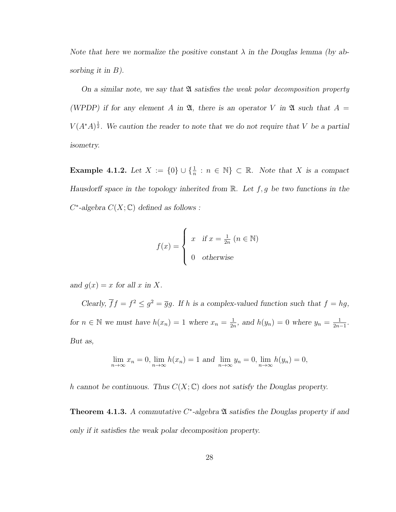Note that here we normalize the positive constant  $\lambda$  in the Douglas lemma (by absorbing it in  $B$ ).

On a similar note, we say that  $\mathfrak A$  satisfies the weak polar decomposition property (WPDP) if for any element A in  $\mathfrak{A}$ , there is an operator V in  $\mathfrak{A}$  such that  $A =$  $V(A^*A)^{\frac{1}{2}}$ . We caution the reader to note that we do not require that V be a partial isometry.

**Example 4.1.2.** Let  $X := \{0\} \cup \{\frac{1}{n} : n \in \mathbb{N}\}\subset \mathbb{R}$ . Note that X is a compact Hausdorff space in the topology inherited from  $\mathbb{R}$ . Let  $f, g$  be two functions in the  $C^*$ -algebra  $C(X; \mathbb{C})$  defined as follows :

$$
f(x) = \begin{cases} x & \text{if } x = \frac{1}{2n} \ (n \in \mathbb{N}) \\ 0 & \text{otherwise} \end{cases}
$$

and  $g(x) = x$  for all x in X.

Clearly,  $\overline{f}f = f^2 \leq g^2 = \overline{g}g$ . If h is a complex-valued function such that  $f = hg$ , for  $n \in \mathbb{N}$  we must have  $h(x_n) = 1$  where  $x_n = \frac{1}{2^n}$  $\frac{1}{2n}$ , and  $h(y_n) = 0$  where  $y_n = \frac{1}{2n^2}$  $\frac{1}{2n-1}$ . But as,

$$
\lim_{n \to \infty} x_n = 0, \lim_{n \to \infty} h(x_n) = 1 \text{ and } \lim_{n \to \infty} y_n = 0, \lim_{n \to \infty} h(y_n) = 0,
$$

<span id="page-36-0"></span>h cannot be continuous. Thus  $C(X; \mathbb{C})$  does not satisfy the Douglas property.

**Theorem 4.1.3.** A commutative  $C^*$ -algebra  $\mathfrak A$  satisfies the Douglas property if and only if it satisfies the weak polar decomposition property.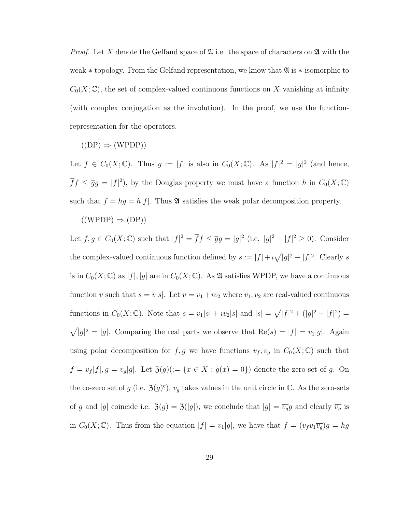*Proof.* Let X denote the Gelfand space of  $\mathfrak A$  i.e. the space of characters on  $\mathfrak A$  with the weak-∗ topology. From the Gelfand representation, we know that  $\mathfrak A$  is ∗-isomorphic to  $C_0(X;\mathbb{C})$ , the set of complex-valued continuous functions on X vanishing at infinity (with complex conjugation as the involution). In the proof, we use the functionrepresentation for the operators.

 $((DP) \Rightarrow (WPDP))$ 

Let  $f \in C_0(X; \mathbb{C})$ . Thus  $g := |f|$  is also in  $C_0(X; \mathbb{C})$ . As  $|f|^2 = |g|^2$  (and hence,  $\overline{f}f \leq \overline{g}g = |f|^2$ , by the Douglas property we must have a function h in  $C_0(X; \mathbb{C})$ such that  $f = hg = h|f|$ . Thus  $\mathfrak A$  satisfies the weak polar decomposition property.

 $((WPDP) \Rightarrow (DP))$ 

Let  $f, g \in C_0(X; \mathbb{C})$  such that  $|f|^2 = \overline{f}f \le \overline{g}g = |g|^2$  (i.e.  $|g|^2 - |f|^2 \ge 0$ ). Consider the complex-valued continuous function defined by  $s := |f| + i\sqrt{|g|^2 - |f|^2}$ . Clearly s is in  $C_0(X; \mathbb{C})$  as  $|f|, |g|$  are in  $C_0(X; \mathbb{C})$ . As  $\mathfrak A$  satisfies WPDP, we have a continuous function v such that  $s = v|s|$ . Let  $v = v_1 + iv_2$  where  $v_1, v_2$  are real-valued continuous functions in  $C_0(X; \mathbb{C})$ . Note that  $s = v_1|s| + w_2|s|$  and  $|s| = \sqrt{|f|^2 + (|g|^2 - |f|^2)} =$  $\sqrt{|g|^2} = |g|$ . Comparing the real parts we observe that  $\text{Re}(s) = |f| = v_1|g|$ . Again using polar decomposition for  $f, g$  we have functions  $v_f, v_g$  in  $C_0(X; \mathbb{C})$  such that  $f = v_f |f|, g = v_g |g|$ . Let  $\mathfrak{Z}(g)(:= \{x \in X : g(x) = 0\})$  denote the zero-set of g. On the co-zero set of g (i.e.  $\mathfrak{Z}(g)^c$ ),  $v_g$  takes values in the unit circle in  $\mathbb{C}$ . As the zero-sets of g and |g| coincide i.e.  $\mathfrak{Z}(g) = \mathfrak{Z}(|g|)$ , we conclude that  $|g| = \overline{v_g}g$  and clearly  $\overline{v_g}$  is in  $C_0(X; \mathbb{C})$ . Thus from the equation  $|f| = v_1|g|$ , we have that  $f = (v_f v_1 \overline{v_g})g = hg$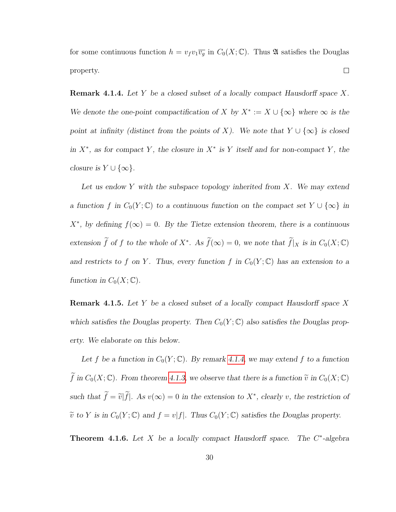for some continuous function  $h = v_f v_1 \overline{v_g}$  in  $C_0(X; \mathbb{C})$ . Thus  $\mathfrak A$  satisfies the Douglas property.  $\Box$ 

<span id="page-38-0"></span>**Remark 4.1.4.** Let Y be a closed subset of a locally compact Hausdorff space X. We denote the one-point compactification of X by  $X^* := X \cup {\infty}$  where  $\infty$  is the point at infinity (distinct from the points of X). We note that  $Y \cup \{\infty\}$  is closed in  $X^*$ , as for compact Y, the closure in  $X^*$  is Y itself and for non-compact Y, the closure is  $Y \cup \{\infty\}.$ 

Let us endow Y with the subspace topology inherited from  $X$ . We may extend a function f in  $C_0(Y; \mathbb{C})$  to a continuous function on the compact set  $Y \cup \{\infty\}$  in  $X^*$ , by defining  $f(\infty) = 0$ . By the Tietze extension theorem, there is a continuous extension  $\tilde{f}$  of f to the whole of  $X^*$ . As  $\tilde{f}(\infty) = 0$ , we note that  $\tilde{f}|_X$  is in  $C_0(X; \mathbb{C})$ and restricts to f on Y. Thus, every function f in  $C_0(Y; \mathbb{C})$  has an extension to a function in  $C_0(X; \mathbb{C})$ .

**Remark 4.1.5.** Let Y be a closed subset of a locally compact Hausdorff space X which satisfies the Douglas property. Then  $C_0(Y; \mathbb{C})$  also satisfies the Douglas property. We elaborate on this below.

Let f be a function in  $C_0(Y; \mathbb{C})$ . By remark [4.1.4,](#page-38-0) we may extend f to a function  $\widetilde{f}$  in  $C_0(X; \mathbb{C})$ . From theorem [4.1.3,](#page-36-0) we observe that there is a function  $\widetilde{v}$  in  $C_0(X; \mathbb{C})$ such that  $\tilde{f} = \tilde{v}|\tilde{f}|$ . As  $v(\infty) = 0$  in the extension to  $X^*$ , clearly v, the restriction of  $\tilde{v}$  to Y is in  $C_0(Y; \mathbb{C})$  and  $f = v|f|$ . Thus  $C_0(Y; \mathbb{C})$  satisfies the Douglas property.

**Theorem 4.1.6.** Let  $X$  be a locally compact Hausdorff space. The  $C^*$ -algebra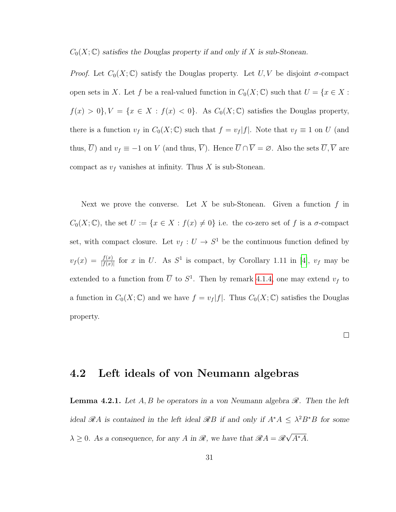$C_0(X; \mathbb{C})$  satisfies the Douglas property if and only if X is sub-Stonean.

*Proof.* Let  $C_0(X;\mathbb{C})$  satisfy the Douglas property. Let  $U, V$  be disjoint  $\sigma$ -compact open sets in X. Let f be a real-valued function in  $C_0(X; \mathbb{C})$  such that  $U = \{x \in X :$  $f(x) > 0$ ,  $V = \{x \in X : f(x) < 0\}$ . As  $C_0(X; \mathbb{C})$  satisfies the Douglas property, there is a function  $v_f$  in  $C_0(X; \mathbb{C})$  such that  $f = v_f |f|$ . Note that  $v_f \equiv 1$  on U (and thus,  $\overline{U}$ ) and  $v_f \equiv -1$  on V (and thus,  $\overline{V}$ ). Hence  $\overline{U} \cap \overline{V} = \emptyset$ . Also the sets  $\overline{U}, \overline{V}$  are compact as  $v_f$  vanishes at infinity. Thus X is sub-Stonean.

Next we prove the converse. Let X be sub-Stonean. Given a function  $f$  in  $C_0(X; \mathbb{C})$ , the set  $U := \{x \in X : f(x) \neq 0\}$  i.e. the co-zero set of f is a  $\sigma$ -compact set, with compact closure. Let  $v_f: U \to S^1$  be the continuous function defined by  $v_f(x) = \frac{f(x)}{|f(x)|}$  for x in U. As  $S^1$  is compact, by Corollary 1.11 in [\[4\]](#page-72-0),  $v_f$  may be extended to a function from  $\overline{U}$  to  $S^1$ . Then by remark [4.1.4,](#page-38-0) one may extend  $v_f$  to a function in  $C_0(X; \mathbb{C})$  and we have  $f = v_f |f|$ . Thus  $C_0(X; \mathbb{C})$  satisfies the Douglas property.

 $\Box$ 

### 4.2 Left ideals of von Neumann algebras

<span id="page-39-0"></span>**Lemma 4.2.1.** Let A, B be operators in a von Neumann algebra  $\mathcal{R}$ . Then the left ideal RA is contained in the left ideal RB if and only if  $A^*A \leq \lambda^2 B^*B$  for some  $\lambda \geq 0$ . As a consequence, for any A in  $\mathcal{R}$ , we have that  $\mathcal{R}A = \mathcal{R}$ √ A<sup>∗</sup>A.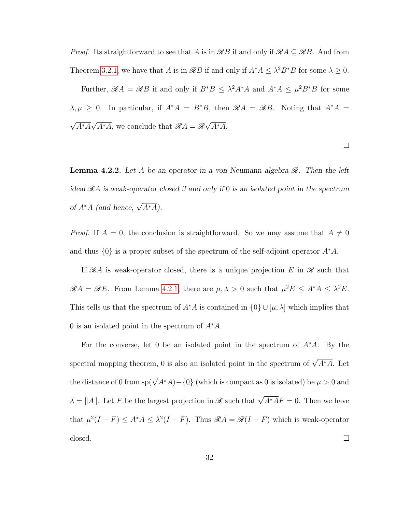*Proof.* Its straightforward to see that A is in  $\mathcal{R}B$  if and only if  $\mathcal{R}A \subseteq \mathcal{R}B$ . And from Theorem [3.2.1,](#page-25-0) we have that A is in  $\mathscr{R}B$  if and only if  $A^*A \leq \lambda^2 B^*B$  for some  $\lambda \geq 0$ .

Further,  $\Re A = \Re B$  if and only if  $B^*B \leq \lambda^2 A^*A$  and  $A^*A \leq \mu^2 B^*B$  for some  $\lambda, \mu \geq 0$ . In particular, if  $A^*A = B^*B$ , then  $\mathcal{R}A = \mathcal{R}B$ . Noting that  $A^*A =$ √ A<sup>∗</sup>A  $<$  √  $A^*A$ , we conclude that  $\mathscr{R}A = \mathscr{R}$ √ A<sup>∗</sup>A.

 $\Box$ 

**Lemma 4.2.2.** Let A be an operator in a von Neumann algebra  $\mathcal{R}$ . Then the left ideal  $\mathcal{R}A$  is weak-operator closed if and only if 0 is an isolated point in the spectrum of  $A^*A$  (and hence,  $\sqrt{A^*A}$ ).

*Proof.* If  $A = 0$ , the conclusion is straightforward. So we may assume that  $A \neq 0$ and thus  $\{0\}$  is a proper subset of the spectrum of the self-adjoint operator  $A^*A$ .

If  $\mathscr{R}A$  is weak-operator closed, there is a unique projection E in  $\mathscr{R}$  such that  $\mathscr{R}A = \mathscr{R}E$ . From Lemma [4.2.1,](#page-39-0) there are  $\mu, \lambda > 0$  such that  $\mu^2 E \leq A^* A \leq \lambda^2 E$ . This tells us that the spectrum of  $A^*A$  is contained in  $\{0\} \cup [\mu, \lambda]$  which implies that 0 is an isolated point in the spectrum of  $A^*A$ .

For the converse, let 0 be an isolated point in the spectrum of  $A^*A$ . By the spectral mapping theorem, 0 is also an isolated point in the spectrum of  $\sqrt{A^*A}$ . Let the distance of 0 from sp( $\sqrt{A^*A}$ ) – {0} (which is compact as 0 is isolated) be  $\mu > 0$  and  $\lambda = ||A||$ . Let F be the largest projection in  $\mathscr R$  such that  $\sqrt{A^*A}F = 0$ . Then we have that  $\mu^2(I - F) \leq A^*A \leq \lambda^2(I - F)$ . Thus  $\mathscr{R}A = \mathscr{R}(I - F)$  which is weak-operator closed.  $\Box$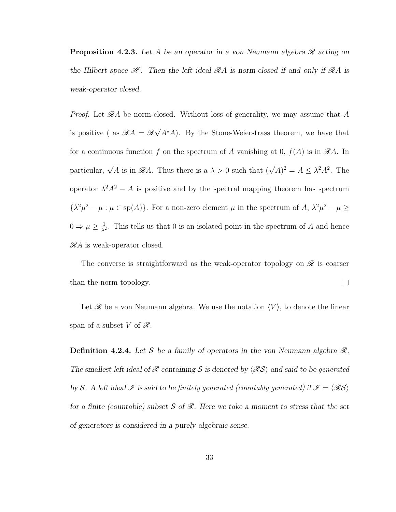<span id="page-41-0"></span>**Proposition 4.2.3.** Let A be an operator in a von Neumann algebra  $\mathscr R$  acting on the Hilbert space  $\mathcal{H}$ . Then the left ideal  $\mathcal{R}A$  is norm-closed if and only if  $\mathcal{R}A$  is weak-operator closed.

*Proof.* Let  $\mathscr{R}A$  be norm-closed. Without loss of generality, we may assume that A is positive ( as  $\mathscr{R}A = \mathscr{R}$ √  $A^*A$ ). By the Stone-Weierstrass theorem, we have that for a continuous function f on the spectrum of A vanishing at 0,  $f(A)$  is in  $\mathcal{R}A$ . In particular,  $\sqrt{A}$  is in  $\mathscr{R}A$ . Thus there is a  $\lambda > 0$  such that  $(\sqrt{A})^2 = A \leq \lambda^2 A^2$ . The operator  $\lambda^2 A^2 - A$  is positive and by the spectral mapping theorem has spectrum  $\{\lambda^2\mu^2 - \mu : \mu \in \text{sp}(A)\}\.$  For a non-zero element  $\mu$  in the spectrum of A,  $\lambda^2\mu^2 - \mu \geq$  $0 \Rightarrow \mu \geq \frac{1}{\lambda^2}$  $\frac{1}{\lambda^2}$ . This tells us that 0 is an isolated point in the spectrum of A and hence  $\mathscr{R}A$  is weak-operator closed.

The converse is straightforward as the weak-operator topology on  $\mathscr R$  is coarser than the norm topology.  $\Box$ 

Let  $\mathscr R$  be a von Neumann algebra. We use the notation  $\langle V \rangle$ , to denote the linear span of a subset V of  $\mathscr{R}$ .

**Definition 4.2.4.** Let S be a family of operators in the von Neumann algebra  $\mathcal{R}$ . The smallest left ideal of R containing S is denoted by  $\langle \mathcal{RS} \rangle$  and said to be generated by S. A left ideal  $\Im$  is said to be finitely generated (countably generated) if  $\Im$  =  $\langle \Re S \rangle$ for a finite (countable) subset  $S$  of  $\mathscr R$ . Here we take a moment to stress that the set of generators is considered in a purely algebraic sense.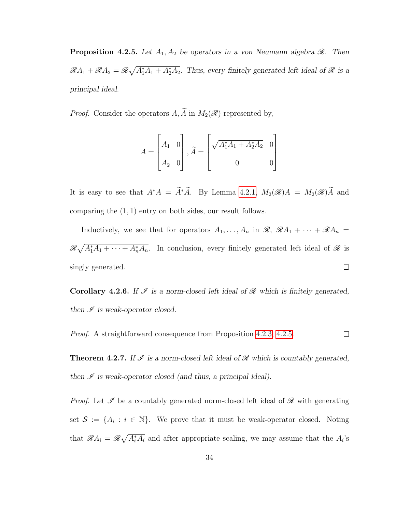<span id="page-42-0"></span>**Proposition 4.2.5.** Let  $A_1, A_2$  be operators in a von Neumann algebra  $\mathcal{R}$ . Then  $\mathscr{R}A_1 + \mathscr{R}A_2 = \mathscr{R}\sqrt{A_1^*A_1 + A_2^*A_2}$ . Thus, every finitely generated left ideal of  $\mathscr{R}$  is a principal ideal.

*Proof.* Consider the operators  $A, \widetilde{A}$  in  $M_2(\mathscr{R})$  represented by,

$$
A = \begin{bmatrix} A_1 & 0 \\ A_2 & 0 \end{bmatrix}, \widetilde{A} = \begin{bmatrix} \sqrt{A_1^* A_1 + A_2^* A_2} & 0 \\ 0 & 0 \end{bmatrix}
$$

It is easy to see that  $A^*A = \tilde{A}^*\tilde{A}$ . By Lemma [4.2.1,](#page-39-0)  $M_2(\mathscr{R})A = M_2(\mathscr{R})\tilde{A}$  and comparing the (1, 1) entry on both sides, our result follows.

Inductively, we see that for operators  $A_1, \ldots, A_n$  in  $\mathscr{R}, \mathscr{R}A_1 + \cdots + \mathscr{R}A_n =$  $\mathscr{R}\sqrt{A_1^*A_1+\cdots+A_n^*A_n}$ . In conclusion, every finitely generated left ideal of  $\mathscr{R}$  is singly generated.  $\Box$ 

<span id="page-42-1"></span>Corollary 4.2.6. If  $\mathcal I$  is a norm-closed left ideal of  $\mathcal R$  which is finitely generated, then  $\mathscr I$  is weak-operator closed.

Proof. A straightforward consequence from Proposition [4.2.3,](#page-41-0) [4.2.5.](#page-42-0)  $\Box$ 

Theorem 4.2.7. If  $\mathcal I$  is a norm-closed left ideal of  $\mathcal R$  which is countably generated, then  $\mathscr I$  is weak-operator closed (and thus, a principal ideal).

*Proof.* Let  $\mathscr I$  be a countably generated norm-closed left ideal of  $\mathscr R$  with generating set  $S := \{A_i : i \in \mathbb{N}\}\.$  We prove that it must be weak-operator closed. Noting that  $\mathscr{R}A_i = \mathscr{R}\sqrt{A_i^*A_i}$  and after appropriate scaling, we may assume that the  $A_i$ 's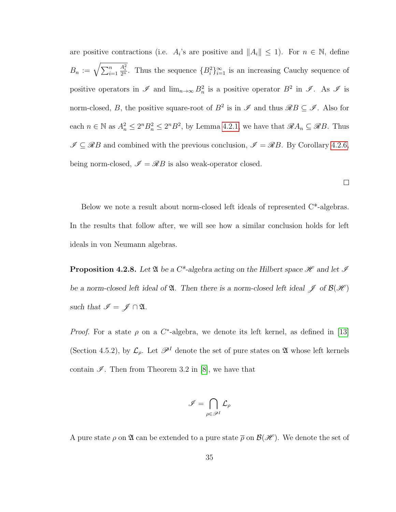are positive contractions (i.e.  $A_i$ 's are positive and  $||A_i|| \leq 1$ ). For  $n \in \mathbb{N}$ , define  $B_n \,:=\, \sqrt{\sum_{i=1}^n}$  $\frac{A_i^2}{2^n}$ . Thus the sequence  $\{B_i^2\}_{i=1}^{\infty}$  is an increasing Cauchy sequence of positive operators in  $\mathscr I$  and  $\lim_{n\to\infty}B_n^2$  is a positive operator  $B^2$  in  $\mathscr I$ . As  $\mathscr I$  is norm-closed, B, the positive square-root of  $B^2$  is in  $\mathscr I$  and thus  $\mathscr R B \subseteq \mathscr I$ . Also for each  $n \in \mathbb{N}$  as  $A_n^2 \leq 2^n B_n^2 \leq 2^n B^2$ , by Lemma [4.2.1,](#page-39-0) we have that  $\mathscr{R}A_n \subseteq \mathscr{R}B$ . Thus  $\mathscr{I} \subseteq \mathscr{R}B$  and combined with the previous conclusion,  $\mathscr{I} = \mathscr{R}B$ . By Corollary [4.2.6,](#page-42-1) being norm-closed,  $\mathscr{I}=\mathscr{R}B$  is also weak-operator closed.

$$
\qquad \qquad \Box
$$

Below we note a result about norm-closed left ideals of represented C\*-algebras. In the results that follow after, we will see how a similar conclusion holds for left ideals in von Neumann algebras.

<span id="page-43-0"></span>**Proposition 4.2.8.** Let  $\mathfrak{A}$  be a C\*-algebra acting on the Hilbert space  $\mathcal{H}$  and let  $\mathcal{I}$ be a norm-closed left ideal of  $\mathfrak{A}$ . Then there is a norm-closed left ideal  $\mathscr{J}$  of  $\mathcal{B}(\mathscr{H})$ such that  $\mathscr{I} = \mathscr{J} \cap \mathfrak{A}$ .

*Proof.* For a state  $\rho$  on a C<sup>\*</sup>-algebra, we denote its left kernel, as defined in [\[13\]](#page-73-0) (Section 4.5.2), by  $\mathcal{L}_{\rho}$ . Let  $\mathscr{P}^{I}$  denote the set of pure states on  $\mathfrak{A}$  whose left kernels contain  $\mathscr{I}$ . Then from Theorem 3.2 in [\[8\]](#page-73-1), we have that

$$
\mathscr{I}=\bigcap_{\rho\in\mathscr{P}^I}\mathcal{L}_\rho
$$

A pure state  $\rho$  on  $\mathfrak A$  can be extended to a pure state  $\overline{\rho}$  on  $\mathcal B(\mathscr H)$ . We denote the set of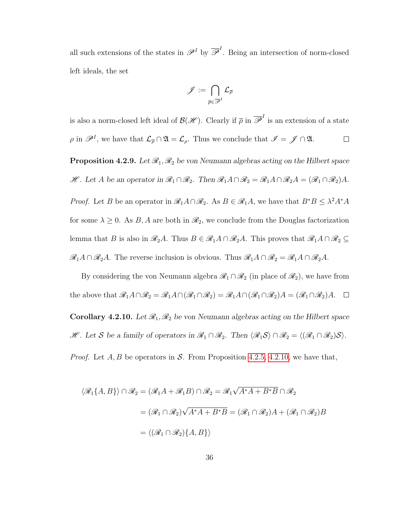all such extensions of the states in  $\mathscr{P}^I$  by  $\overline{\mathscr{P}}^I$ . Being an intersection of norm-closed left ideals, the set

$$
\mathscr{J} \coloneqq \bigcap_{\overline{\rho} \in \overline{\mathscr{P}}^I} \mathcal{L}_{\overline{\rho}}
$$

is also a norm-closed left ideal of  $\mathcal{B}(\mathcal{H})$ . Clearly if  $\overline{\rho}$  in  $\overline{\mathcal{P}}^I$  is an extension of a state  $\rho$  in  $\mathscr{P}^I$ , we have that  $\mathcal{L}_{\overline{\rho}} \cap \mathfrak{A} = \mathcal{L}_{\rho}$ . Thus we conclude that  $\mathscr{I} = \mathscr{J} \cap \mathfrak{A}$ .  $\Box$ 

**Proposition 4.2.9.** Let  $\mathcal{R}_1, \mathcal{R}_2$  be von Neumann algebras acting on the Hilbert space  $\mathscr{H}$ . Let A be an operator in  $\mathscr{R}_1 \cap \mathscr{R}_2$ . Then  $\mathscr{R}_1 A \cap \mathscr{R}_2 = \mathscr{R}_1 A \cap \mathscr{R}_2 A = (\mathscr{R}_1 \cap \mathscr{R}_2)A$ . *Proof.* Let B be an operator in  $\mathcal{R}_1 A \cap \mathcal{R}_2$ . As  $B \in \mathcal{R}_1 A$ , we have that  $B^*B \leq \lambda^2 A^*A$ for some  $\lambda \geq 0$ . As B, A are both in  $\mathcal{R}_2$ , we conclude from the Douglas factorization lemma that B is also in  $\mathscr{R}_2A$ . Thus  $B \in \mathscr{R}_1A \cap \mathscr{R}_2A$ . This proves that  $\mathscr{R}_1A \cap \mathscr{R}_2 \subseteq$  $\mathcal{R}_1A \cap \mathcal{R}_2A$ . The reverse inclusion is obvious. Thus  $\mathcal{R}_1A \cap \mathcal{R}_2 = \mathcal{R}_1A \cap \mathcal{R}_2A$ .

<span id="page-44-0"></span>By considering the von Neumann algebra  $\mathcal{R}_1 \cap \mathcal{R}_2$  (in place of  $\mathcal{R}_2$ ), we have from the above that  $\mathcal{R}_1A \cap \mathcal{R}_2 = \mathcal{R}_1A \cap (\mathcal{R}_1 \cap \mathcal{R}_2) = \mathcal{R}_1A \cap (\mathcal{R}_1 \cap \mathcal{R}_2)A = (\mathcal{R}_1 \cap \mathcal{R}_2)A$ .  $\Box$ Corollary 4.2.10. Let  $\mathcal{R}_1, \mathcal{R}_2$  be von Neumann algebras acting on the Hilbert space  $\mathscr{H}$ . Let S be a family of operators in  $\mathscr{R}_1 \cap \mathscr{R}_2$ . Then  $\langle \mathscr{R}_1S \rangle \cap \mathscr{R}_2 = \langle (\mathscr{R}_1 \cap \mathscr{R}_2)S \rangle$ .

*Proof.* Let  $A, B$  be operators in S. From Proposition [4.2.5,](#page-42-0) [4.2.10,](#page-44-0) we have that,

$$
\langle \mathcal{R}_1\{A, B\} \rangle \cap \mathcal{R}_2 = (\mathcal{R}_1 A + \mathcal{R}_1 B) \cap \mathcal{R}_2 = \mathcal{R}_1 \sqrt{A^* A + B^* B} \cap \mathcal{R}_2
$$
  
= 
$$
(\mathcal{R}_1 \cap \mathcal{R}_2) \sqrt{A^* A + B^* B} = (\mathcal{R}_1 \cap \mathcal{R}_2) A + (\mathcal{R}_1 \cap \mathcal{R}_2) B
$$
  
= 
$$
\langle (\mathcal{R}_1 \cap \mathcal{R}_2) \{A, B\} \rangle
$$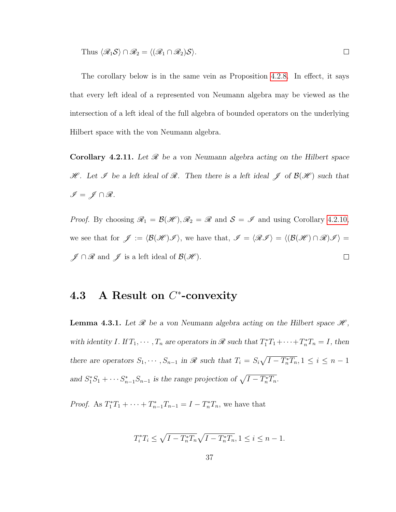Thus 
$$
\langle \mathcal{R}_1 \mathcal{S} \rangle \cap \mathcal{R}_2 = \langle (\mathcal{R}_1 \cap \mathcal{R}_2) \mathcal{S} \rangle
$$
.

The corollary below is in the same vein as Proposition [4.2.8.](#page-43-0) In effect, it says that every left ideal of a represented von Neumann algebra may be viewed as the intersection of a left ideal of the full algebra of bounded operators on the underlying Hilbert space with the von Neumann algebra.

Corollary 4.2.11. Let  $\mathcal{R}$  be a von Neumann algebra acting on the Hilbert space H. Let I be a left ideal of R. Then there is a left ideal  $\mathscr J$  of  $\mathcal B(\mathscr H)$  such that  $\mathscr{I} = \mathscr{J} \cap \mathscr{R}.$ 

*Proof.* By choosing  $\mathcal{R}_1 = \mathcal{B}(\mathcal{H}), \mathcal{R}_2 = \mathcal{R}$  and  $\mathcal{S} = \mathcal{I}$  and using Corollary [4.2.10,](#page-44-0) we see that for  $\mathscr{J} := \langle \mathcal{B}(\mathscr{H})\mathscr{I} \rangle$ , we have that,  $\mathscr{I} = \langle \mathscr{R}\mathscr{I} \rangle = \langle (\mathcal{B}(\mathscr{H}) \cap \mathscr{R})\mathscr{I} \rangle =$  $\mathscr{J} \cap \mathscr{R}$  and  $\mathscr{J}$  is a left ideal of  $\mathcal{B}(\mathscr{H})$ .  $\Box$ 

### 4.3 A Result on  $C^*$ -convexity

<span id="page-45-0"></span>**Lemma 4.3.1.** Let  $\mathcal{R}$  be a von Neumann algebra acting on the Hilbert space  $\mathcal{H}$ , with identity I. If  $T_1, \dots, T_n$  are operators in  $\mathscr R$  such that  $T_1^*T_1 + \dots + T_n^*T_n = I$ , then there are operators  $S_1, \dots, S_{n-1}$  in  $\mathscr R$  such that  $T_i = S_i \sqrt{I - T_n^* T_n}, 1 \le i \le n-1$ and  $S_1^*S_1 + \cdots S_{n-1}^*S_{n-1}$  is the range projection of  $\sqrt{I - T_n^*T_n}$ .

*Proof.* As  $T_1^*T_1 + \cdots + T_{n-1}^*T_{n-1} = I - T_n^*T_n$ , we have that

$$
T_i^* T_i \le \sqrt{I - T_n^* T_n} \sqrt{I - T_n^* T_n}, 1 \le i \le n - 1.
$$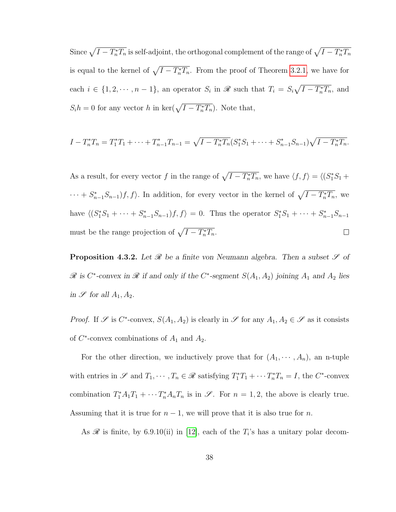Since  $\sqrt{I-T_n^*T_n}$  is self-adjoint, the orthogonal complement of the range of  $\sqrt{I-T_n^*T_n}$ is equal to the kernel of  $\sqrt{I - T_n^* T_n}$ . From the proof of Theorem [3.2.1,](#page-25-0) we have for each  $i \in \{1, 2, \dots, n-1\}$ , an operator  $S_i$  in  $\mathscr R$  such that  $T_i = S_i \sqrt{I - T_n^* T_n}$ , and  $S_i h = 0$  for any vector h in ker $(\sqrt{I - T_n^* T_n})$ . Note that,

$$
I - T_n^* T_n = T_1^* T_1 + \dots + T_{n-1}^* T_{n-1} = \sqrt{I - T_n^* T_n} (S_1^* S_1 + \dots + S_{n-1}^* S_{n-1}) \sqrt{I - T_n^* T_n}.
$$

As a result, for every vector f in the range of  $\sqrt{I - T_n^*T_n}$ , we have  $\langle f, f \rangle = \langle (S_1^*S_1 +$  $\cdots + S_{n-1}^* S_{n-1} f, f \rangle$ . In addition, for every vector in the kernel of  $\sqrt{I - T_n^* T_n}$ , we have  $\langle (S_1^*S_1 + \cdots + S_{n-1}^*S_{n-1})f, f \rangle = 0$ . Thus the operator  $S_1^*S_1 + \cdots + S_{n-1}^*S_{n-1}$ must be the range projection of  $\sqrt{I - T_n^* T_n}$ .  $\Box$ 

**Proposition 4.3.2.** Let  $\mathcal{R}$  be a finite von Neumann algebra. Then a subset  $\mathcal{S}$  of  $\mathscr R$  is  $C^*$ -convex in  $\mathscr R$  if and only if the  $C^*$ -segment  $S(A_1, A_2)$  joining  $A_1$  and  $A_2$  lies in  $\mathscr S$  for all  $A_1, A_2$ .

*Proof.* If  $\mathscr S$  is C<sup>\*</sup>-convex,  $S(A_1, A_2)$  is clearly in  $\mathscr S$  for any  $A_1, A_2 \in \mathscr S$  as it consists of  $C^*$ -convex combinations of  $A_1$  and  $A_2$ .

For the other direction, we inductively prove that for  $(A_1, \dots, A_n)$ , an n-tuple with entries in  $\mathscr S$  and  $T_1, \dots, T_n \in \mathscr R$  satisfying  $T_1^*T_1 + \dots + T_n^*T_n = I$ , the  $C^*$ -convex combination  $T_1^*A_1T_1 + \cdots + T_n^*A_nT_n$  is in  $\mathscr{S}$ . For  $n = 1, 2$ , the above is clearly true. Assuming that it is true for  $n-1$ , we will prove that it is also true for n.

As  $\mathscr R$  is finite, by 6.9.10(ii) in [\[12\]](#page-73-2), each of the  $T_i$ 's has a unitary polar decom-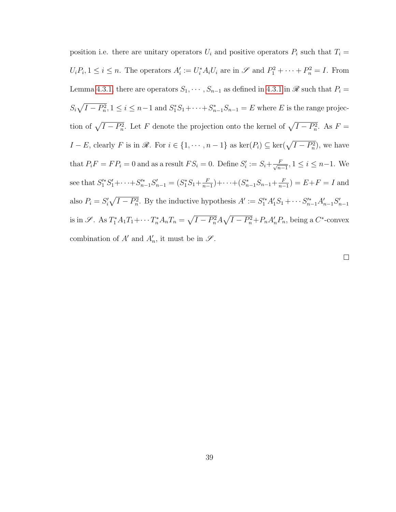position i.e. there are unitary operators  $U_i$  and positive operators  $P_i$  such that  $T_i =$  $U_i P_i, 1 \le i \le n$ . The operators  $A'_i := U_i^* A_i U_i$  are in  $\mathscr{S}$  and  $P_1^2 + \cdots + P_n^2 = I$ . From Lemma [4.3.1,](#page-45-0) there are operators  $S_1, \dots, S_{n-1}$  as defined in [4.3.1](#page-45-0) in  $\mathscr R$  such that  $P_i =$  $S_i\sqrt{I-P_n^2}$ ,  $1\leq i\leq n-1$  and  $S_1^*S_1+\cdots+S_{n-1}^*S_{n-1}=E$  where E is the range projection of  $\sqrt{I-P_n^2}$ . Let F denote the projection onto the kernel of  $\sqrt{I-P_n^2}$ . As  $F =$ I – E, clearly F is in  $\mathscr{R}$ . For  $i \in \{1, \cdots, n-1\}$  as  $\ker(P_i) \subseteq \ker(\sqrt{I-P_n^2})$ , we have that  $P_i F = F P_i = 0$  and as a result  $FS_i = 0$ . Define  $S'_i := S_i + \frac{F}{\sqrt{n}}$  $\frac{F}{n-1}$ , 1 ≤ *i* ≤ *n*−1. We see that  $S_1^{\prime *}S_1^{\prime} + \cdots + S_{n-1}^{\prime *}S_{n-1}^{\prime} = (S_1^{\ast}S_1 + \frac{F}{n-1})$  $\frac{F}{n-1}$ )+ $\cdots$ + $(S_{n-1}^*S_{n-1}+\frac{F}{n-1})$  $\frac{F}{n-1}$ ) =  $E + F = I$  and also  $P_i = S'_i \sqrt{I - P_n^2}$ . By the inductive hypothesis  $A' := S''_1 A'_1 S_1 + \cdots S''_{n-1} A'_{n-1} S'_{n-1}$ is in  $\mathscr{S}$ . As  $T_1^*A_1T_1+\cdots T_n^*A_nT_n=\sqrt{I-P_n^2}A\sqrt{I-P_n^2}+P_nA_n'P_n$ , being a  $C^*$ -convex combination of  $A'$  and  $A'_n$ , it must be in  $\mathscr{S}$ .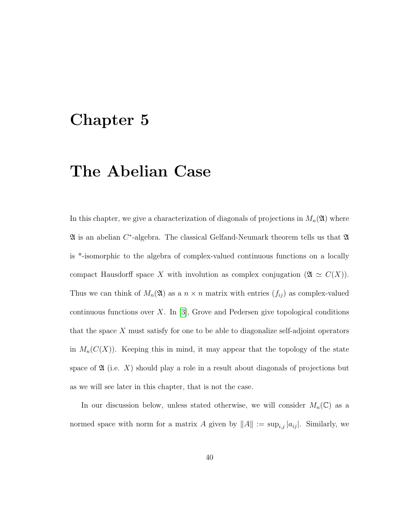# Chapter 5

# The Abelian Case

In this chapter, we give a characterization of diagonals of projections in  $M_n(\mathfrak{A})$  where  $\mathfrak A$  is an abelian C<sup>\*</sup>-algebra. The classical Gelfand-Neumark theorem tells us that  $\mathfrak A$ is \*-isomorphic to the algebra of complex-valued continuous functions on a locally compact Hausdorff space X with involution as complex conjugation  $(\mathfrak{A} \simeq C(X))$ . Thus we can think of  $M_n(\mathfrak{A})$  as a  $n \times n$  matrix with entries  $(f_{ij})$  as complex-valued continuous functions over  $X$ . In [\[3\]](#page-72-1), Grove and Pedersen give topological conditions that the space  $X$  must satisfy for one to be able to diagonalize self-adjoint operators in  $M_n(C(X))$ . Keeping this in mind, it may appear that the topology of the state space of  $\mathfrak A$  (i.e. X) should play a role in a result about diagonals of projections but as we will see later in this chapter, that is not the case.

In our discussion below, unless stated otherwise, we will consider  $M_n(\mathbb{C})$  as a normed space with norm for a matrix A given by  $||A|| := \sup_{i,j} |a_{ij}|$ . Similarly, we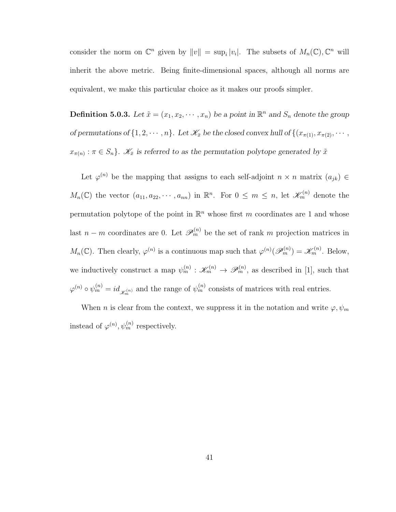consider the norm on  $\mathbb{C}^n$  given by  $||v|| = \sup_i |v_i|$ . The subsets of  $M_n(\mathbb{C}), \mathbb{C}^n$  will inherit the above metric. Being finite-dimensional spaces, although all norms are equivalent, we make this particular choice as it makes our proofs simpler.

**Definition 5.0.3.** Let  $\tilde{x} = (x_1, x_2, \dots, x_n)$  be a point in  $\mathbb{R}^n$  and  $S_n$  denote the group of permutations of  $\{1, 2, \cdots, n\}$ . Let  $\mathscr{K}_{\bar{x}}$  be the closed convex hull of  $\{(x_{\pi(1)}, x_{\pi(2)}, \cdots, x_{\pi(n)})\}$  $x_{\pi(n)} : \pi \in S_n$ .  $\mathscr{K}_{\bar{x}}$  is referred to as the permutation polytope generated by  $\tilde{x}$ 

Let  $\varphi^{(n)}$  be the mapping that assigns to each self-adjoint  $n \times n$  matrix  $(a_{jk}) \in$  $M_n(\mathbb{C})$  the vector  $(a_{11}, a_{22}, \cdots, a_{nn})$  in  $\mathbb{R}^n$ . For  $0 \leq m \leq n$ , let  $\mathscr{K}_m^{(n)}$  denote the permutation polytope of the point in  $\mathbb{R}^n$  whose first m coordinates are 1 and whose last  $n - m$  coordinates are 0. Let  $\mathscr{P}_m^{(n)}$  be the set of rank m projection matrices in  $M_n(\mathbb{C})$ . Then clearly,  $\varphi^{(n)}$  is a continuous map such that  $\varphi^{(n)}(\mathscr{P}_m^{(n)}) = \mathscr{K}_m^{(n)}$ . Below, we inductively construct a map  $\psi_m^{(n)} : \mathscr{K}_m^{(n)} \to \mathscr{P}_m^{(n)}$ , as described in [1], such that  $\varphi^{(n)} \circ \psi_m^{(n)} = id_{\mathscr{K}_m^{(n)}}$  and the range of  $\psi_m^{(n)}$  consists of matrices with real entries.

When n is clear from the context, we suppress it in the notation and write  $\varphi, \psi_m$ instead of  $\varphi^{(n)}$ ,  $\psi_m^{(n)}$  respectively.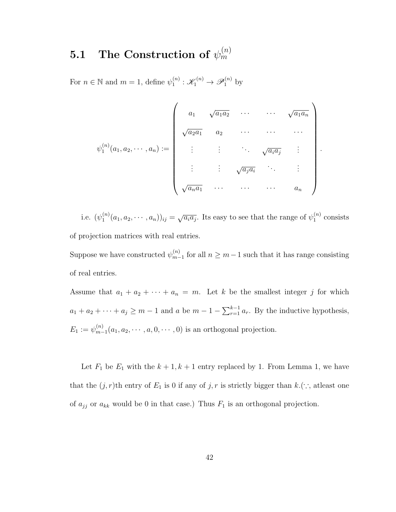#### $\mathbf{5.1}\quad \textbf{The Construction of}\ \psi^{(n)}_{m}$  $\dot{m}$

For  $n \in \mathbb{N}$  and  $m = 1$ , define  $\psi_1^{(n)}$  $\mathscr{K}_1^{(n)} : \mathscr{K}_1^{(n)} \to \mathscr{P}_1^{(n)}$  by

$$
\psi_1^{(n)}(a_1, a_2, \cdots, a_n) := \begin{pmatrix} a_1 & \sqrt{a_1 a_2} & \cdots & \cdots & \sqrt{a_1 a_n} \\ \sqrt{a_2 a_1} & a_2 & \cdots & \cdots & \cdots \\ \vdots & \vdots & \ddots & \sqrt{a_i a_j} & \vdots \\ \vdots & \vdots & \sqrt{a_j a_i} & \cdots & \vdots \\ \sqrt{a_n a_1} & \cdots & \cdots & \cdots & a_n \end{pmatrix}.
$$

i.e.  $(\psi_1^{(n)}$  $\chi_1^{(n)}(a_1, a_2, \cdots, a_n)_{ij} = \sqrt{a_i a_j}$ . Its easy to see that the range of  $\psi_1^{(n)}$  $1^{(n)}$  consists of projection matrices with real entries.

Suppose we have constructed  $\psi_{m-}^{(n)}$  $\binom{n}{m-1}$  for all  $n \geq m-1$  such that it has range consisting of real entries.

Assume that  $a_1 + a_2 + \cdots + a_n = m$ . Let k be the smallest integer j for which  $a_1 + a_2 + \cdots + a_j \geq m - 1$  and a be  $m - 1 - \sum_{r=1}^{k-1} a_r$ . By the inductive hypothesis,  $E_1:=\psi_{m-}^{(n)}$  $\binom{n}{m-1}(a_1, a_2, \cdots, a, 0, \cdots, 0)$  is an orthogonal projection.

Let  $F_1$  be  $E_1$  with the  $k + 1$ ,  $k + 1$  entry replaced by 1. From Lemma 1, we have that the  $(j, r)$ th entry of  $E_1$  is 0 if any of  $j, r$  is strictly bigger than  $k.(~\cdot~~,$  at least one of  $a_{jj}$  or  $a_{kk}$  would be 0 in that case.) Thus  $F_1$  is an orthogonal projection.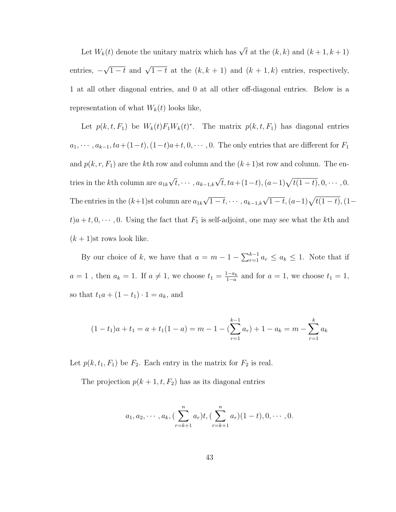Let  $W_k(t)$  denote the unitary matrix which has  $\sqrt{t}$  at the  $(k, k)$  and  $(k + 1, k + 1)$ entries, −  $\sqrt{1-t}$  and  $\sqrt{1-t}$  at the  $(k, k + 1)$  and  $(k + 1, k)$  entries, respectively, 1 at all other diagonal entries, and 0 at all other off-diagonal entries. Below is a representation of what  $W_k(t)$  looks like,

Let  $p(k, t, F_1)$  be  $W_k(t)F_1W_k(t)^*$ . The matrix  $p(k, t, F_1)$  has diagonal entries  $a_1, \dots, a_{k-1}, ta+(1-t), (1-t)a+t, 0, \dots, 0$ . The only entries that are different for  $F_1$ and  $p(k, r, F_1)$  are the kth row and column and the  $(k+1)$ st row and column. The entries in the k<sup>th</sup> column are  $a_{1k}$ √  $\overline{t},\cdots,a_{k-1,k}$ √  $\overline{t}, ta + (1-t), (a-1)\sqrt{t(1-t)}, 0, \cdots, 0.$ The entries in the  $(k+1)$ st column are  $a_{1k}$  $\sqrt{1-t}, \cdots, a_{k-1,k}\sqrt{1-t}, (a-1)\sqrt{t(1-t)}, (1-t)$  $t$ )a + t, 0,  $\cdots$ , 0. Using the fact that  $F_1$  is self-adjoint, one may see what the kth and  $(k+1)$ st rows look like.

By our choice of k, we have that  $a = m - 1 - \sum_{r=1}^{k-1} a_r \le a_k \le 1$ . Note that if  $a = 1$ , then  $a_k = 1$ . If  $a \neq 1$ , we choose  $t_1 = \frac{1-a_k}{1-a_k}$  $\frac{1-a_k}{1-a}$  and for  $a=1$ , we choose  $t_1=1$ , so that  $t_1a + (1 - t_1) \cdot 1 = a_k$ , and

$$
(1-t1)a + t1 = a + t1(1 - a) = m - 1 - (\sum_{r=1}^{k-1} a_r) + 1 - a_k = m - \sum_{r=1}^{k} a_k
$$

Let  $p(k, t_1, F_1)$  be  $F_2$ . Each entry in the matrix for  $F_2$  is real.

The projection  $p(k + 1, t, F_2)$  has as its diagonal entries

$$
a_1, a_2, \cdots, a_k, \left(\sum_{r=k+1}^n a_r\right)t, \left(\sum_{r=k+1}^n a_r\right)(1-t), 0, \cdots, 0.
$$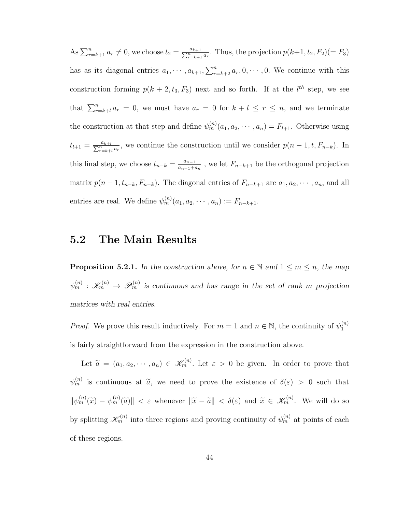As  $\sum_{r=k+1}^{n} a_r \neq 0$ , we choose  $t_2 = \frac{a_{k+1}}{\sum_{r=k+1}^{n} a_r}$ . Thus, the projection  $p(k+1, t_2, F_2) (= F_3)$ has as its diagonal entries  $a_1, \dots, a_{k+1}, \sum_{r=k+2}^n a_r, 0, \dots, 0$ . We continue with this construction forming  $p(k+2, t_3, F_3)$  next and so forth. If at the  $l^{th}$  step, we see that  $\sum_{r=k+l}^{n} a_r = 0$ , we must have  $a_r = 0$  for  $k+l \leq r \leq n$ , and we terminate the construction at that step and define  $\psi_m^{(n)}(a_1, a_2, \dots, a_n) = F_{l+1}$ . Otherwise using  $t_{l+1} = \frac{a_{k+l}}{\sum_{r=k+l}^{n} a_r}$ , we continue the construction until we consider  $p(n-1, t, F_{n-k})$ . In this final step, we choose  $t_{n-k} = \frac{a_{n-1}}{a_{n-1}+k}$  $\frac{a_{n-1}}{a_{n-1}+a_n}$ , we let  $F_{n-k+1}$  be the orthogonal projection matrix  $p(n-1, t_{n-k}, F_{n-k})$ . The diagonal entries of  $F_{n-k+1}$  are  $a_1, a_2, \cdots, a_n$ , and all entries are real. We define  $\psi_m^{(n)}(a_1, a_2, \cdots, a_n) := F_{n-k+1}$ .

#### 5.2 The Main Results

**Proposition 5.2.1.** In the construction above, for  $n \in \mathbb{N}$  and  $1 \leq m \leq n$ , the map  $\psi_m^{(n)} : \mathscr{K}_m^{(n)} \to \mathscr{P}_m^{(n)}$  is continuous and has range in the set of rank m projection matrices with real entries.

*Proof.* We prove this result inductively. For  $m = 1$  and  $n \in \mathbb{N}$ , the continuity of  $\psi_1^{(n)}$ 1 is fairly straightforward from the expression in the construction above.

Let  $\tilde{a} = (a_1, a_2, \dots, a_n) \in \mathcal{K}_m^{(n)}$ . Let  $\varepsilon > 0$  be given. In order to prove that  $\psi_m^{(n)}$  is continuous at  $\tilde{a}$ , we need to prove the existence of  $\delta(\varepsilon) > 0$  such that  $\|\psi_m^{(n)}(\tilde{x}) - \psi_m^{(n)}(\tilde{a})\| < \varepsilon$  whenever  $\|\tilde{x} - \tilde{a}\| < \delta(\varepsilon)$  and  $\tilde{x} \in \mathscr{K}_m^{(n)}$ . We will do so by splitting  $\mathscr{K}_m^{(n)}$  into three regions and proving continuity of  $\psi_m^{(n)}$  at points of each of these regions.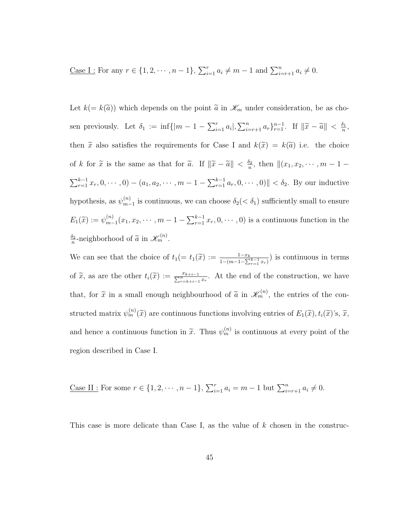<u>Case I</u>: For any  $r \in \{1, 2, \dots, n-1\}, \sum_{i=1}^{r} a_i \neq m-1$  and  $\sum_{i=r+1}^{n} a_i \neq 0$ .

Let  $k(= k(\tilde{a}))$  which depends on the point  $\tilde{a}$  in  $\mathscr{K}_m$  under consideration, be as chosen previously. Let  $\delta_1 := \inf\{|m - 1 - \sum_{i=1}^r a_i|, \sum_{i=r+1}^n a_r\}_{r=1}^{n-1}$ . If  $\|\tilde{x} - \tilde{a}\| < \frac{\delta_1}{n}$  $\frac{\mathfrak{d}_1}{n},$ then  $\tilde{x}$  also satisfies the requirements for Case I and  $k(\tilde{x}) = k(\tilde{a})$  i.e. the choice of k for  $\tilde{x}$  is the same as that for  $\tilde{a}$ . If  $\|\tilde{x} - \tilde{a}\| < \frac{\delta_2}{n}$  $\frac{\partial_2}{\partial n}$ , then  $\|(x_1, x_2, \cdots, m-1-1)$  $\sum_{r=1}^{k-1} x_r, 0, \cdots, 0) - (a_1, a_2, \cdots, m-1 - \sum_{r=1}^{k-1} a_r, 0, \cdots, 0)$   $\| < \delta_2$ . By our inductive hypothesis, as  $\psi_{m-}^{(n)}$  $\binom{n}{m-1}$  is continuous, we can choose  $\delta_2(<\delta_1)$  sufficiently small to ensure  $E_1(\widetilde{x}) := \psi_{m-1}^{(n)}$  $\binom{n}{m-1}(x_1, x_2, \cdots, m-1-\sum_{r=1}^{k-1}x_r, 0, \cdots, 0)$  is a continuous function in the  $\delta_2$  $\frac{\delta_2}{n}$ -neighborhood of  $\widetilde{a}$  in  $\mathscr{K}_m^{(n)}$ .

We can see that the choice of  $t_1(= t_1(\tilde{x}) := \frac{1-x_k}{1-(m-1-\sum_{r=1}^{k-1} x_r)})$  is continuous in terms of  $\widetilde{x}$ , as are the other  $t_i(\widetilde{x}) := \frac{x_{k+i-1}}{\sum_{r=k+i-1}^n}$  $\frac{x_{k+i-1}}{x_{k+i-1}x_k}$ . At the end of the construction, we have that, for  $\tilde{x}$  in a small enough neighbourhood of  $\tilde{a}$  in  $\mathscr{K}_m^{(n)}$ , the entries of the constructed matrix  $\psi_m^{(n)}(\tilde{x})$  are continuous functions involving entries of  $E_1(\tilde{x}), t_i(\tilde{x})$ 's,  $\tilde{x}$ , and hence a continuous function in  $\tilde{x}$ . Thus  $\psi_m^{(n)}$  is continuous at every point of the region described in Case I.

Case II : For some 
$$
r \in \{1, 2, \cdots, n-1\}
$$
,  $\sum_{i=1}^{r} a_i = m-1$  but  $\sum_{i=r+1}^{n} a_i \neq 0$ .

This case is more delicate than Case I, as the value of k chosen in the construc-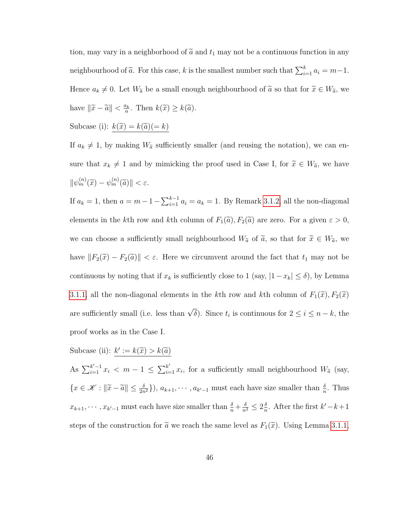tion, may vary in a neighborhood of  $\tilde{a}$  and  $t_1$  may not be a continuous function in any neighbourhood of  $\tilde{a}$ . For this case, k is the smallest number such that  $\sum_{i=1}^{k} a_i = m-1$ . Hence  $a_k \neq 0$ . Let  $W_{\tilde{a}}$  be a small enough neighbourhood of  $\tilde{a}$  so that for  $\tilde{x} \in W_{\tilde{a}}$ , we have  $\left\|\tilde{x} - \tilde{a}\right\| < \frac{a_k}{n}$  $\frac{a_k}{n}$ . Then  $k(\tilde{x}) \geq k(\tilde{a})$ .

Subcase (i):  $k(\tilde{x}) = k(\tilde{a})(=k)$ 

If  $a_k \neq 1$ , by making  $W_{\tilde{a}}$  sufficiently smaller (and reusing the notation), we can ensure that  $x_k \neq 1$  and by mimicking the proof used in Case I, for  $\tilde{x} \in W_{\tilde{a}}$ , we have  $\|\psi_m^{(n)}(\widetilde{x}) - \psi_m^{(n)}(\widetilde{a})\| < \varepsilon.$ 

If  $a_k = 1$ , then  $a = m - 1 - \sum_{i=1}^{k-1} a_i = a_k = 1$ . By Remark [3.1.2,](#page-24-0) all the non-diagonal elements in the kth row and kth column of  $F_1(\tilde{a})$ ,  $F_2(\tilde{a})$  are zero. For a given  $\varepsilon > 0$ , we can choose a sufficiently small neighbourhood  $W_{\tilde{a}}$  of  $\tilde{a}$ , so that for  $\tilde{x} \in W_{\tilde{a}}$ , we have  $||F_2(\tilde{x}) - F_2(\tilde{a})|| < \varepsilon$ . Here we circumvent around the fact that  $t_1$  may not be continuous by noting that if  $x_k$  is sufficiently close to 1 (say,  $|1-x_k| \le \delta$ ), by Lemma [3.1.1,](#page-24-1) all the non-diagonal elements in the kth row and kth column of  $F_1(\tilde{x}), F_2(\tilde{x})$ are sufficiently small (i.e. less than  $\sqrt{\delta}$ ). Since  $t_i$  is continuous for  $2 \leq i \leq n-k$ , the proof works as in the Case I.

Subcase (ii):  $\underline{k' := k(\tilde{x}) > k(\tilde{a})}$ 

As  $\sum_{i=1}^{k'-1} x_i < m-1 \le \sum_{i=1}^{k'} x_i$ , for a sufficiently small neighbourhood  $W_{\tilde{a}}$  (say,  $\{x \in \mathcal{K} : \|\tilde{x} - \tilde{a}\| \leq \frac{\delta}{2n^2}\}, a_{k+1}, \dots, a_{k'-1}$  must each have size smaller than  $\frac{\delta}{n}$ . Thus  $x_{k+1}, \dots, x_{k'-1}$  must each have size smaller than  $\frac{\delta}{n} + \frac{\delta}{n^2} \leq 2\frac{\delta}{n}$  $\frac{\delta}{n}$ . After the first  $k'-k+1$ steps of the construction for  $\tilde{a}$  we reach the same level as  $F_1(\tilde{x})$ . Using Lemma [3.1.1,](#page-24-1)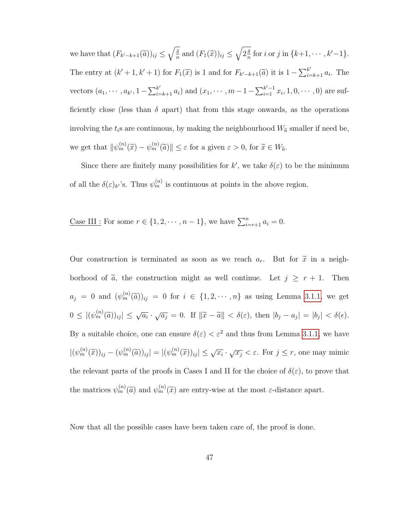we have that  $(F_{k'-k+1}(\tilde{a}))_{ij} \leq \sqrt{\frac{\delta}{n}}$  $\frac{\delta}{n}$  and  $(F_1(\tilde{x}))_{ij} \leq \sqrt{2\frac{\delta}{n}}$  $\frac{\delta}{n}$  for *i* or *j* in { $k+1, \cdots, k'-1$ }. The entry at  $(k'+1, k'+1)$  for  $F_1(\tilde{x})$  is 1 and for  $F_{k'-k+1}(\tilde{a})$  it is  $1 - \sum_{i=k+1}^{k'} a_i$ . The vectors  $(a_1, \dots, a_{k}, 1 - \sum_{i=k+1}^{k'} a_i)$  and  $(x_1, \dots, m-1 - \sum_{i=1}^{k'-1} x_i, 1, 0, \dots, 0)$  are sufficiently close (less than  $\delta$  apart) that from this stage onwards, as the operations involving the  $t_i$ s are continuous, by making the neighbourhood  $W_{\tilde{a}}$  smaller if need be, we get that  $\|\psi_m^{(n)}(\tilde{x}) - \psi_m^{(n)}(\tilde{a})\| \leq \varepsilon$  for a given  $\varepsilon > 0$ , for  $\tilde{x} \in W_{\tilde{a}}$ .

Since there are finitely many possibilities for k', we take  $\delta(\varepsilon)$  to be the minimum of all the  $\delta(\varepsilon)_{k'}$ 's. Thus  $\psi_m^{(n)}$  is continuous at points in the above region.

<u>Case III :</u> For some  $r \in \{1, 2, \dots, n-1\}$ , we have  $\sum_{i=r+1}^{n} a_i = 0$ .

Our construction is terminated as soon as we reach  $a_r$ . But for  $\tilde{x}$  in a neighborhood of  $\tilde{a}$ , the construction might as well continue. Let  $j \geq r + 1$ .  $a_j = 0$  and  $(\psi_m^{(n)}(\tilde{a}))_{ij} = 0$  for  $i \in \{1, 2, \dots, n\}$  as using Lemma [3.1.1,](#page-24-1) we get  $0 \leq |(\psi_m^{(n)}(\widetilde{a}))_{ij}| \leq \sqrt{a_i} \cdot \sqrt{a_j} = 0$ . If  $\|\widetilde{x} - \widetilde{a}\| < \delta(\varepsilon)$ , then  $|b_j - a_j| = |b_j| < \delta(\varepsilon)$ . By a suitable choice, one can ensure  $\delta(\varepsilon) < \varepsilon^2$  and thus from Lemma [3.1.1,](#page-24-1) we have  $|(\psi_m^{(n)}(\tilde{x}))_{ij} - (\psi_m^{(n)}(\tilde{a}))_{ij}| = |(\psi_m^{(n)}(\tilde{x}))_{ij}| \leq \sqrt{x_i} \cdot \sqrt{x_j} < \varepsilon$ . For  $j \leq r$ , one may mimic the relevant parts of the proofs in Cases I and II for the choice of  $\delta(\varepsilon)$ , to prove that the matrices  $\psi_m^{(n)}(\tilde{a})$  and  $\psi_m^{(n)}(\tilde{x})$  are entry-wise at the most  $\varepsilon$ -distance apart.

Now that all the possible cases have been taken care of, the proof is done.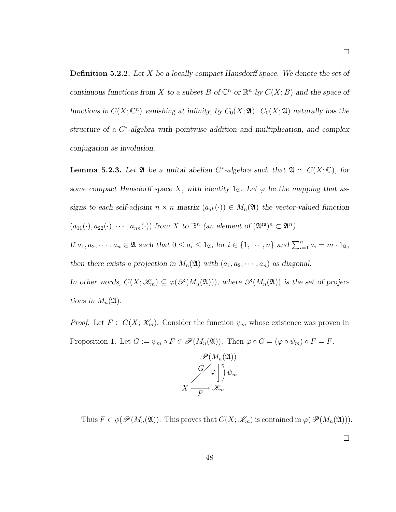**Definition 5.2.2.** Let  $X$  be a locally compact Hausdorff space. We denote the set of continuous functions from X to a subset B of  $\mathbb{C}^n$  or  $\mathbb{R}^n$  by  $C(X;B)$  and the space of functions in  $C(X; \mathbb{C}^n)$  vanishing at infinity, by  $C_0(X; \mathfrak{A})$ .  $C_0(X; \mathfrak{A})$  naturally has the structure of a C<sup>\*</sup>-algebra with pointwise addition and multiplication, and complex conjugation as involution.

**Lemma 5.2.3.** Let  $\mathfrak{A}$  be a unital abelian C<sup>\*</sup>-algebra such that  $\mathfrak{A} \simeq C(X;\mathbb{C})$ , for some compact Hausdorff space X, with identity  $1_{\mathfrak{A}}$ . Let  $\varphi$  be the mapping that assigns to each self-adjoint  $n \times n$  matrix  $(a_{jk}(\cdot)) \in M_n(\mathfrak{A})$  the vector-valued function  $(a_{11}(\cdot), a_{22}(\cdot), \cdots, a_{nn}(\cdot))$  from X to  $\mathbb{R}^n$  (an element of  $(\mathfrak{A}^{\mathfrak{sa}})^n \subset \mathfrak{A}^n$ ).

If  $a_1, a_2, \dots, a_n \in \mathfrak{A}$  such that  $0 \le a_i \le 1_{\mathfrak{A}}$ , for  $i \in \{1, \dots, n\}$  and  $\sum_{i=1}^n a_i = m \cdot 1_{\mathfrak{A}}$ , then there exists a projection in  $M_n(\mathfrak{A})$  with  $(a_1, a_2, \dots, a_n)$  as diagonal.

In other words,  $C(X; \mathcal{K}_m) \subseteq \varphi(\mathcal{P}(M_n(\mathfrak{A})))$ , where  $\mathcal{P}(M_n(\mathfrak{A}))$  is the set of projections in  $M_n(\mathfrak{A})$ .

*Proof.* Let  $F \in C(X; \mathcal{K}_m)$ . Consider the function  $\psi_m$  whose existence was proven in Proposition 1. Let  $G := \psi_m \circ F \in \mathscr{P}(M_n(\mathfrak{A}))$ . Then  $\varphi \circ G = (\varphi \circ \psi_m) \circ F = F$ .



Thus  $F \in \phi(\mathcal{P}(M_n(\mathfrak{A}))$ . This proves that  $C(X; \mathcal{K}_m)$  is contained in  $\varphi(\mathcal{P}(M_n(\mathfrak{A})))$ .

 $\Box$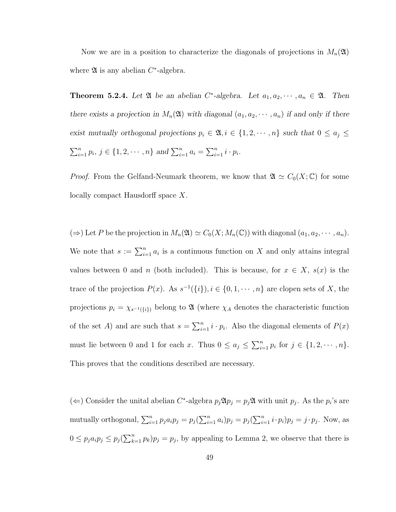Now we are in a position to characterize the diagonals of projections in  $M_n(\mathfrak{A})$ where  $\mathfrak A$  is any abelian  $C^*$ -algebra.

**Theorem 5.2.4.** Let  $\mathfrak{A}$  be an abelian C<sup>\*</sup>-algebra. Let  $a_1, a_2, \dots, a_n \in \mathfrak{A}$ . Then there exists a projection in  $M_n(\mathfrak{A})$  with diagonal  $(a_1, a_2, \dots, a_n)$  if and only if there exist mutually orthogonal projections  $p_i \in \mathfrak{A}, i \in \{1, 2, \cdots, n\}$  such that  $0 \leq a_j \leq$  $\sum_{i=1}^{n} p_i, j \in \{1, 2, \cdots, n\}$  and  $\sum_{i=1}^{n} a_i = \sum_{i=1}^{n} i \cdot p_i$ .

*Proof.* From the Gelfand-Neumark theorem, we know that  $\mathfrak{A} \simeq C_0(X; \mathbb{C})$  for some locally compact Hausdorff space X.

( $\Rightarrow$ ) Let P be the projection in  $M_n(\mathfrak{A}) \simeq C_0(X; M_n(\mathbb{C}))$  with diagonal  $(a_1, a_2, \dots, a_n)$ . We note that  $s := \sum_{i=1}^n a_i$  is a continuous function on X and only attains integral values between 0 and n (both included). This is because, for  $x \in X$ ,  $s(x)$  is the trace of the projection  $P(x)$ . As  $s^{-1}(\{i\}), i \in \{0, 1, \dots, n\}$  are clopen sets of X, the projections  $p_i = \chi_{s^{-1}(\{i\})}$  belong to  $\mathfrak A$  (where  $\chi_A$  denotes the characteristic function of the set A) and are such that  $s = \sum_{i=1}^{n} i \cdot p_i$ . Also the diagonal elements of  $P(x)$ must lie between 0 and 1 for each x. Thus  $0 \le a_j \le \sum_{i=1}^n p_i$  for  $j \in \{1, 2, \dots, n\}$ . This proves that the conditions described are necessary.

(←) Consider the unital abelian C<sup>\*</sup>-algebra  $p_j \mathfrak{A} p_j = p_j \mathfrak{A}$  with unit  $p_j$ . As the  $p_i$ 's are mutually orthogonal,  $\sum_{i=1}^{n} p_j a_i p_j = p_j (\sum_{i=1}^{n} a_i) p_j = p_j (\sum_{i=1}^{n} i \cdot p_i) p_j = j \cdot p_j$ . Now, as  $0 \leq p_j a_i p_j \leq p_j (\sum_{k=1}^n p_k) p_j = p_j$ , by appealing to Lemma 2, we observe that there is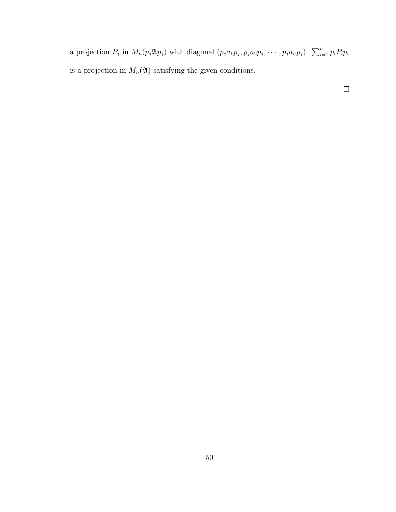a projection  $P_j$  in  $M_n(p_j \mathfrak{A} p_j)$  with diagonal  $(p_j a_1 p_j, p_j a_2 p_j, \cdots, p_j a_n p_j)$ .  $\sum_{i=1}^n p_i P_i p_i$ is a projection in  $M_n({\mathfrak{A}})$  satisfying the given conditions.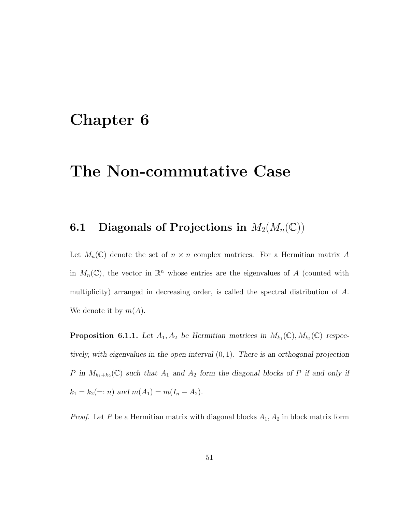# Chapter 6

# The Non-commutative Case

### 6.1 Diagonals of Projections in  $M_2(M_n(\mathbb{C}))$

Let  $M_n(\mathbb{C})$  denote the set of  $n \times n$  complex matrices. For a Hermitian matrix A in  $M_n(\mathbb{C})$ , the vector in  $\mathbb{R}^n$  whose entries are the eigenvalues of A (counted with multiplicity) arranged in decreasing order, is called the spectral distribution of A. We denote it by  $m(A)$ .

**Proposition 6.1.1.** Let  $A_1, A_2$  be Hermitian matrices in  $M_{k_1}(\mathbb{C}), M_{k_2}(\mathbb{C})$  respectively, with eigenvalues in the open interval  $(0, 1)$ . There is an orthogonal projection P in  $M_{k_1+k_2}(\mathbb{C})$  such that  $A_1$  and  $A_2$  form the diagonal blocks of P if and only if  $k_1 = k_2 (=: n)$  and  $m(A_1) = m(I_n - A_2)$ .

*Proof.* Let P be a Hermitian matrix with diagonal blocks  $A_1$ ,  $A_2$  in block matrix form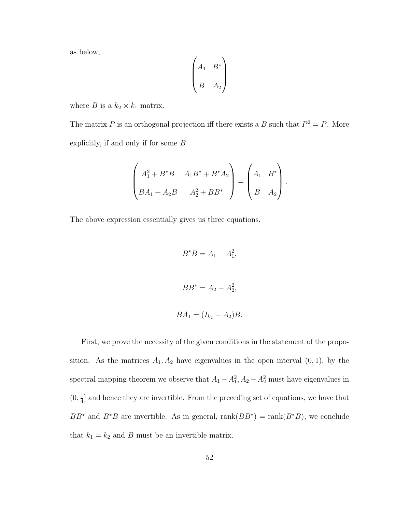as below,

$$
\begin{pmatrix} A_1 & B^* \\ B & A_2 \end{pmatrix}
$$

where B is a  $k_2 \times k_1$  matrix.

The matrix P is an orthogonal projection iff there exists a B such that  $P^2 = P$ . More explicitly, if and only if for some B

$$
\begin{pmatrix} A_1^2 + B^*B & A_1B^* + B^*A_2 \ B A_1 + A_2B & A_2^2 + BB^* \end{pmatrix} = \begin{pmatrix} A_1 & B^* \ B & A_2 \end{pmatrix}.
$$

The above expression essentially gives us three equations.

$$
B^*B = A_1 - A_1^2,
$$
  
\n
$$
BB^* = A_2 - A_2^2,
$$
  
\n
$$
BA_1 = (I_{k_2} - A_2)B.
$$

First, we prove the necessity of the given conditions in the statement of the proposition. As the matrices  $A_1, A_2$  have eigenvalues in the open interval  $(0, 1)$ , by the spectral mapping theorem we observe that  $A_1 - A_1^2$ ,  $A_2 - A_2^2$  must have eigenvalues in  $(0, \frac{1}{4})$  $\frac{1}{4}$  and hence they are invertible. From the preceding set of equations, we have that  $BB^*$  and  $B^*B$  are invertible. As in general,  $rank(BB^*) = rank(B^*B)$ , we conclude that  $k_1 = k_2$  and B must be an invertible matrix.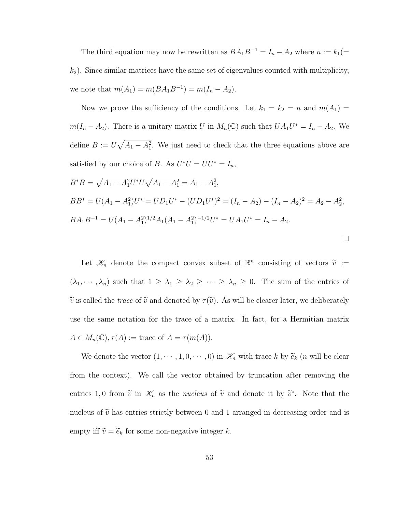The third equation may now be rewritten as  $BA_1B^{-1} = I_n - A_2$  where  $n := k_1 (=$  $k<sub>2</sub>$ ). Since similar matrices have the same set of eigenvalues counted with multiplicity, we note that  $m(A_1) = m(BA_1B^{-1}) = m(I_n - A_2)$ .

Now we prove the sufficiency of the conditions. Let  $k_1 = k_2 = n$  and  $m(A_1) =$  $m(I_n - A_2)$ . There is a unitary matrix U in  $M_n(\mathbb{C})$  such that  $UA_1U^* = I_n - A_2$ . We define  $B := U\sqrt{A_1 - A_1^2}$ . We just need to check that the three equations above are satisfied by our choice of B. As  $U^*U = UU^* = I_n$ ,  $R^*R$  $\sqrt{4}$  $\overline{A^2}$ 

$$
B^*B = \sqrt{A_1 - A_1^2}U^*U\sqrt{A_1 - A_1^2} = A_1 - A_1^2,
$$
  
\n
$$
BB^* = U(A_1 - A_1^2)U^* = UD_1U^* - (UD_1U^*)^2 = (I_n - A_2) - (I_n - A_2)^2 = A_2 - A_2^2,
$$
  
\n
$$
BA_1B^{-1} = U(A_1 - A_1^2)^{1/2}A_1(A_1 - A_1^2)^{-1/2}U^* = UA_1U^* = I_n - A_2.
$$

 $\Box$ 

Let  $\mathscr{K}_n$  denote the compact convex subset of  $\mathbb{R}^n$  consisting of vectors  $\tilde{v} :=$  $(\lambda_1, \dots, \lambda_n)$  such that  $1 \geq \lambda_1 \geq \lambda_2 \geq \dots \geq \lambda_n \geq 0$ . The sum of the entries of  $\tilde{v}$  is called the *trace* of  $\tilde{v}$  and denoted by  $\tau(\tilde{v})$ . As will be clearer later, we deliberately use the same notation for the trace of a matrix. In fact, for a Hermitian matrix  $A \in M_n(\mathbb{C}), \tau(A) := \text{trace of } A = \tau(m(A)).$ 

We denote the vector  $(1, \dots, 1, 0, \dots, 0)$  in  $\mathcal{K}_n$  with trace k by  $\widetilde{e}_k$  (n will be clear from the context). We call the vector obtained by truncation after removing the entries 1,0 from  $\tilde{v}$  in  $\mathscr{K}_n$  as the *nucleus* of  $\tilde{v}$  and denote it by  $\tilde{v}^{\circ}$ . Note that the nucleus of  $\tilde{v}$  has entries strictly between 0 and 1 arranged in decreasing order and is empty iff  $\widetilde{v}=\widetilde{e}_k$  for some non-negative integer  $k.$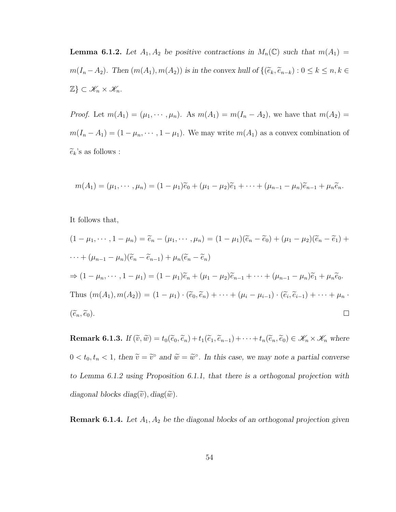**Lemma 6.1.2.** Let  $A_1, A_2$  be positive contractions in  $M_n(\mathbb{C})$  such that  $m(A_1) =$  $m(I_n - A_2)$ . Then  $(m(A_1), m(A_2))$  is in the convex hull of  $\{(\tilde{e}_k, \tilde{e}_{n-k}) : 0 \le k \le n, k \in \mathbb{Z}\}$  $\mathbb{Z}\}\subset\mathscr{K}_n\times\mathscr{K}_n$ .

*Proof.* Let  $m(A_1) = (\mu_1, \dots, \mu_n)$ . As  $m(A_1) = m(I_n - A_2)$ , we have that  $m(A_2) =$  $m(I_n - A_1) = (1 - \mu_n, \dots, 1 - \mu_1)$ . We may write  $m(A_1)$  as a convex combination of  $\widetilde{e}_k$ 's as follows :

$$
m(A_1) = (\mu_1, \cdots, \mu_n) = (1 - \mu_1)\widetilde{e}_0 + (\mu_1 - \mu_2)\widetilde{e}_1 + \cdots + (\mu_{n-1} - \mu_n)\widetilde{e}_{n-1} + \mu_n\widetilde{e}_n.
$$

It follows that,

$$
(1 - \mu_1, \cdots, 1 - \mu_n) = \tilde{e}_n - (\mu_1, \cdots, \mu_n) = (1 - \mu_1)(\tilde{e}_n - \tilde{e}_0) + (\mu_1 - \mu_2)(\tilde{e}_n - \tilde{e}_1) + \cdots + (\mu_{n-1} - \mu_n)(\tilde{e}_n - \tilde{e}_{n-1}) + \mu_n(\tilde{e}_n - \tilde{e}_n)
$$
  
\n
$$
\Rightarrow (1 - \mu_n, \cdots, 1 - \mu_1) = (1 - \mu_1)\tilde{e}_n + (\mu_1 - \mu_2)\tilde{e}_{n-1} + \cdots + (\mu_{n-1} - \mu_n)\tilde{e}_1 + \mu_n\tilde{e}_0.
$$
  
\nThus  $(m(A_1), m(A_2)) = (1 - \mu_1) \cdot (\tilde{e}_0, \tilde{e}_n) + \cdots + (\mu_i - \mu_{i-1}) \cdot (\tilde{e}_i, \tilde{e}_{i-1}) + \cdots + \mu_n.$   
\n $(\tilde{e}_n, \tilde{e}_0).$ 

**Remark 6.1.3.** If  $(\widetilde{v}, \widetilde{w}) = t_0(\widetilde{e}_0, \widetilde{e}_n) + t_1(\widetilde{e}_1, \widetilde{e}_{n-1}) + \cdots + t_n(\widetilde{e}_n, \widetilde{e}_0) \in \mathscr{K}_n \times \mathscr{K}_n$  where  $0 < t_0, t_n < 1$ , then  $\tilde{v} = \tilde{v}^{\circ}$  and  $\tilde{w} = \tilde{w}^{\circ}$ . In this case, we may note a partial converse to Lemma 6.1.2 using Proposition 6.1.1, that there is a orthogonal projection with diagonal blocks diag( $\widetilde{v}$ ), diag( $\widetilde{w}$ ).

**Remark 6.1.4.** Let  $A_1, A_2$  be the diagonal blocks of an orthogonal projection given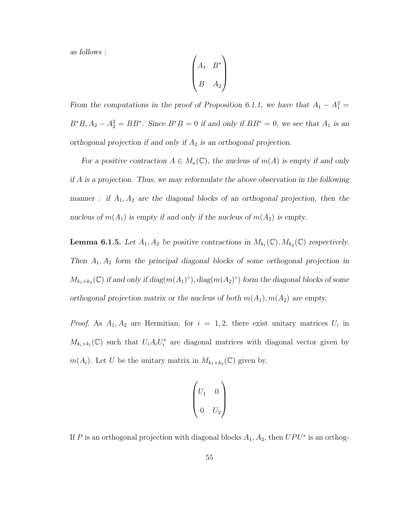as follows :

$$
\begin{pmatrix} A_1 & B^* \\ B & A_2 \end{pmatrix}
$$

From the computations in the proof of Proposition 6.1.1, we have that  $A_1 - A_1^2 =$  $B^*B$ ,  $A_2 - A_2^2 = BB^*$ . Since  $B^*B = 0$  if and only if  $BB^* = 0$ , we see that  $A_1$  is an orthogonal projection if and only if  $A_2$  is an orthogonal projection.

For a positive contraction  $A \in M_n(\mathbb{C})$ , the nucleus of  $m(A)$  is empty if and only if A is a projection. Thus, we may reformulate the above observation in the following manner : if  $A_1, A_2$  are the diagonal blocks of an orthogonal projection, then the nucleus of  $m(A_1)$  is empty if and only if the nucleus of  $m(A_2)$  is empty.

<span id="page-63-0"></span>**Lemma 6.1.5.** Let  $A_1, A_2$  be positive contractions in  $M_{k_1}(\mathbb{C}), M_{k_2}(\mathbb{C})$  respectively. Then  $A_1, A_2$  form the principal diagonal blocks of some orthogonal projection in  $M_{k_1+k_2}(\mathbb{C})$  if and only if  $diag(m(A_1)^{\circ}), diag(m(A_2)^{\circ})$  form the diagonal blocks of some orthogonal projection matrix or the nucleus of both  $m(A_1), m(A_2)$  are empty.

*Proof.* As  $A_1, A_2$  are Hermitian, for  $i = 1, 2$ , there exist unitary matrices  $U_i$  in  $M_{k_i \times k_i}(\mathbb{C})$  such that  $U_i A_i U_i^*$  are diagonal matrices with diagonal vector given by  $m(A_i)$ . Let U be the unitary matrix in  $M_{k_1+k_2}(\mathbb{C})$  given by,

$$
\begin{pmatrix} U_1 & 0 \\ 0 & U_2 \end{pmatrix}
$$

If P is an orthogonal projection with diagonal blocks  $A_1, A_2$ , then  $UPU^*$  is an orthog-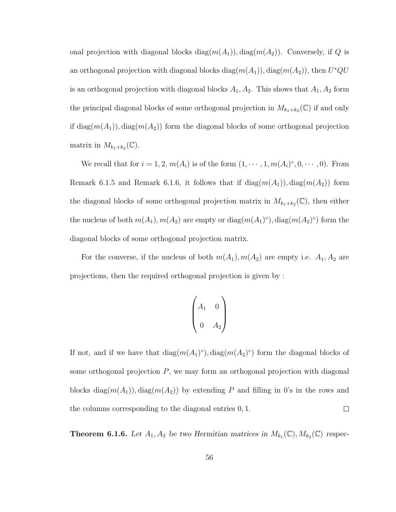onal projection with diagonal blocks diag $(m(A_1))$ , diag $(m(A_2))$ . Conversely, if Q is an orthogonal projection with diagonal blocks  $diag(m(A_1))$ ,  $diag(m(A_2))$ , then  $U^*QU$ is an orthogonal projection with diagonal blocks  $A_1, A_2$ . This shows that  $A_1, A_2$  form the principal diagonal blocks of some orthogonal projection in  $M_{k_1+k_2}(\mathbb{C})$  if and only if diag $(m(A_1))$ , diag $(m(A_2))$  form the diagonal blocks of some orthogonal projection matrix in  $M_{k_1+k_2}(\mathbb{C})$ .

We recall that for  $i = 1, 2, m(A_i)$  is of the form  $(1, \dots, 1, m(A_i)^{\circ}, 0, \dots, 0)$ . From Remark 6.1.5 and Remark 6.1.6, it follows that if  $diag(m(A_1))$ ,  $diag(m(A_2))$  form the diagonal blocks of some orthogonal projection matrix in  $M_{k_1+k_2}(\mathbb{C})$ , then either the nucleus of both  $m(A_1), m(A_2)$  are empty or  $\text{diag}(m(A_1)^\circ)$ ,  $\text{diag}(m(A_2)^\circ)$  form the diagonal blocks of some orthogonal projection matrix.

For the converse, if the nucleus of both  $m(A_1), m(A_2)$  are empty i.e.  $A_1, A_2$  are projections, then the required orthogonal projection is given by :

$$
\begin{pmatrix} A_1 & 0 \\ 0 & A_2 \end{pmatrix}
$$

If not, and if we have that  $diag(m(A_1)^{\circ})$ ,  $diag(m(A_2)^{\circ})$  form the diagonal blocks of some orthogonal projection  $P$ , we may form an orthogonal projection with diagonal blocks diag $(m(A_1))$ , diag $(m(A_2))$  by extending P and filling in 0's in the rows and  $\Box$ the columns corresponding to the diagonal entries 0, 1.

<span id="page-64-0"></span>**Theorem 6.1.6.** Let  $A_1, A_2$  be two Hermitian matrices in  $M_{k_1}(\mathbb{C}), M_{k_2}(\mathbb{C})$  respec-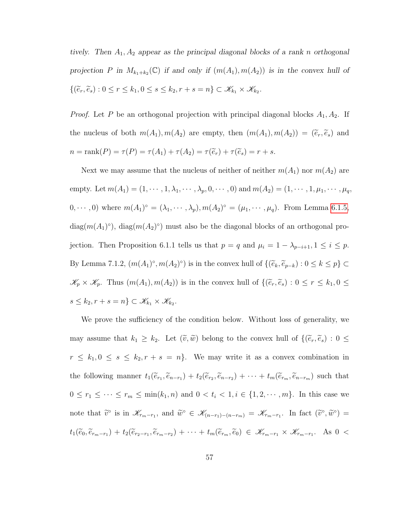tively. Then  $A_1, A_2$  appear as the principal diagonal blocks of a rank n orthogonal projection P in  $M_{k_1+k_2}(\mathbb{C})$  if and only if  $(m(A_1), m(A_2))$  is in the convex hull of  $\{(\widetilde{e}_r, \widetilde{e}_s) : 0 \le r \le k_1, 0 \le s \le k_2, r + s = n\} \subset \mathscr{K}_{k_1} \times \mathscr{K}_{k_2}.$ 

*Proof.* Let P be an orthogonal projection with principal diagonal blocks  $A_1, A_2$ . If the nucleus of both  $m(A_1), m(A_2)$  are empty, then  $(m(A_1), m(A_2)) = (\tilde{e}_r, \tilde{e}_s)$  and  $n = \text{rank}(P) = \tau(P) = \tau(A_1) + \tau(A_2) = \tau(\tilde{e}_r) + \tau(\tilde{e}_s) = r + s.$ 

Next we may assume that the nucleus of neither of neither  $m(A_1)$  nor  $m(A_2)$  are empty. Let  $m(A_1) = (1, \dots, 1, \lambda_1, \dots, \lambda_p, 0, \dots, 0)$  and  $m(A_2) = (1, \dots, 1, \mu_1, \dots, \mu_q,$  $(0, \dots, 0)$  where  $m(A_1)^{\circ} = (\lambda_1, \dots, \lambda_p), m(A_2)^{\circ} = (\mu_1, \dots, \mu_q)$ . From Lemma [6.1.5,](#page-63-0) diag $(m(A_1)^\circ)$ , diag $(m(A_2)^\circ)$  must also be the diagonal blocks of an orthogonal projection. Then Proposition 6.1.1 tells us that  $p = q$  and  $\mu_i = 1 - \lambda_{p-i+1}, 1 \leq i \leq p$ . By Lemma 7.1.2,  $(m(A_1)^\circ, m(A_2)^\circ)$  is in the convex hull of  $\{(\tilde{e}_k, \tilde{e}_{p-k}) : 0 \le k \le p\} \subset$  $\mathscr{K}_{p}\times\mathscr{K}_{p}$ . Thus  $(m(A_1), m(A_2))$  is in the convex hull of  $\{(\tilde{e}_r, \tilde{e}_s): 0 \leq r \leq k_1, 0 \leq s_1\}$  $s \leq k_2, r + s = n$   $\subset \mathscr{K}_{k_1} \times \mathscr{K}_{k_2}$ .

We prove the sufficiency of the condition below. Without loss of generality, we may assume that  $k_1 \geq k_2$ . Let  $(\tilde{v}, \tilde{w})$  belong to the convex hull of  $\{(\tilde{e}_r, \tilde{e}_s) : 0 \leq$  $r \leq k_1, 0 \leq s \leq k_2, r + s = n$ . We may write it as a convex combination in the following manner  $t_1(\tilde{e}_{r_1}, \tilde{e}_{n-r_1}) + t_2(\tilde{e}_{r_2}, \tilde{e}_{n-r_2}) + \cdots + t_m(\tilde{e}_{r_m}, \tilde{e}_{n-r_m})$  such that  $0 \le r_1 \le \cdots \le r_m \le \min(k_1, n)$  and  $0 < t_i < 1, i \in \{1, 2, \cdots, m\}$ . In this case we note that  $\tilde{v}^{\circ}$  is in  $\mathscr{K}_{r_m-r_1}$ , and  $\tilde{w}^{\circ} \in \mathscr{K}_{(n-r_1)-(n-r_m)} = \mathscr{K}_{r_m-r_1}$ . In fact  $(\tilde{v}^{\circ}, \tilde{w}^{\circ}) =$  $t_1(\widetilde{e}_0, \widetilde{e}_{r_m-r_1}) + t_2(\widetilde{e}_{r_2-r_1}, \widetilde{e}_{r_m-r_2}) + \cdots + t_m(\widetilde{e}_{r_m}, \widetilde{e}_0) \in \mathscr{K}_{r_m-r_1} \times \mathscr{K}_{r_m-r_1}$ . As  $0 <$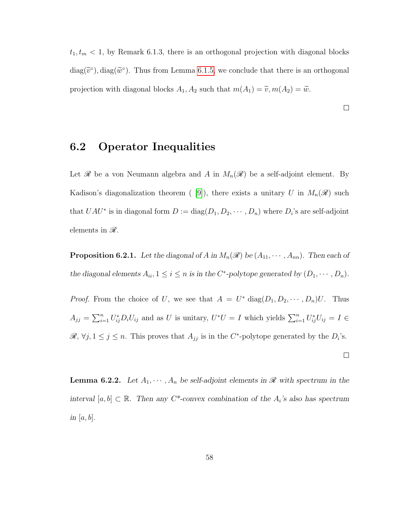$t_1, t_m < 1$ , by Remark 6.1.3, there is an orthogonal projection with diagonal blocks  $diag(\tilde{v}^{\circ})$ ,  $diag(\tilde{w}^{\circ})$ . Thus from Lemma [6.1.5,](#page-63-0) we conclude that there is an orthogonal projection with diagonal blocks  $A_1, A_2$  such that  $m(A_1) = \tilde{v}, m(A_2) = \tilde{w}$ .

 $\Box$ 

### 6.2 Operator Inequalities

Let  $\mathscr R$  be a von Neumann algebra and A in  $M_n(\mathscr R)$  be a self-adjoint element. By Kadison's diagonalization theorem ( [\[9\]](#page-73-3)), there exists a unitary U in  $M_n(\mathscr{R})$  such that  $UAU^*$  is in diagonal form  $D := diag(D_1, D_2, \dots, D_n)$  where  $D_i$ 's are self-adjoint elements in  $\mathscr{R}$ .

<span id="page-66-1"></span>**Proposition 6.2.1.** Let the diagonal of A in  $M_n(\mathcal{R})$  be  $(A_{11}, \dots, A_{nn})$ . Then each of the diagonal elements  $A_{ii}$ ,  $1 \le i \le n$  is in the C\*-polytope generated by  $(D_1, \dots, D_n)$ .

*Proof.* From the choice of U, we see that  $A = U^*$  diag $(D_1, D_2, \dots, D_n)U$ . Thus  $A_{jj} = \sum_{i=1}^{n} U_{ij}^* D_i U_{ij}$  and as U is unitary,  $U^*U = I$  which yields  $\sum_{i=1}^{n} U_{ij}^* U_{ij} = I \in$  $\mathscr{R}, \forall j, 1 \leq j \leq n$ . This proves that  $A_{jj}$  is in the C\*-polytope generated by the  $D_i$ 's.

 $\Box$ 

<span id="page-66-0"></span>**Lemma 6.2.2.** Let  $A_1, \dots, A_n$  be self-adjoint elements in  $\mathcal{R}$  with spectrum in the interval [a, b]  $\subset \mathbb{R}$ . Then any C<sup>\*</sup>-convex combination of the  $A_i$ 's also has spectrum in  $[a, b]$ .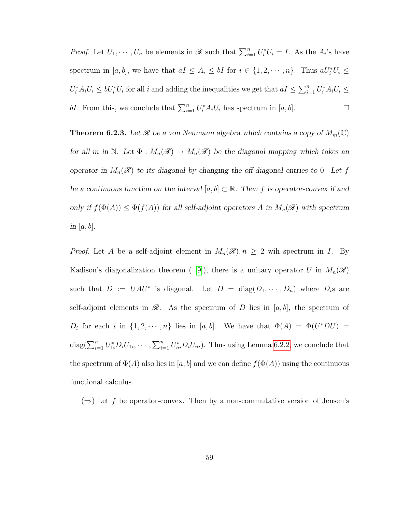*Proof.* Let  $U_1, \dots, U_n$  be elements in  $\mathscr R$  such that  $\sum_{i=1}^n U_i^* U_i = I$ . As the  $A_i$ 's have spectrum in [a, b], we have that  $aI \leq A_i \leq bI$  for  $i \in \{1, 2, \dots, n\}$ . Thus  $aU_i^*U_i \leq$  $U_i^* A_i U_i \leq b U_i^* U_i$  for all i and adding the inequalities we get that  $aI \leq \sum_{i=1}^n U_i^* A_i U_i \leq$ bI. From this, we conclude that  $\sum_{i=1}^{n} U_i^* A_i U_i$  has spectrum in [a, b].  $\Box$ 

**Theorem 6.2.3.** Let  $\mathcal{R}$  be a von Neumann algebra which contains a copy of  $M_m(\mathbb{C})$ for all m in N. Let  $\Phi : M_n(\mathcal{R}) \to M_n(\mathcal{R})$  be the diagonal mapping which takes an operator in  $M_n(\mathscr{R})$  to its diagonal by changing the off-diagonal entries to 0. Let f be a continuous function on the interval  $[a, b] \subset \mathbb{R}$ . Then f is operator-convex if and only if  $f(\Phi(A)) \leq \Phi(f(A))$  for all self-adjoint operators A in  $M_n(\mathscr{R})$  with spectrum in  $[a, b]$ .

*Proof.* Let A be a self-adjoint element in  $M_n(\mathcal{R})$ ,  $n \geq 2$  wih spectrum in I. By Kadison's diagonalization theorem ( [\[9\]](#page-73-3)), there is a unitary operator U in  $M_n(\mathscr{R})$ such that  $D := UAU^*$  is diagonal. Let  $D = diag(D_1, \dots, D_n)$  where  $D_i$ s are self-adjoint elements in  $\mathscr R$ . As the spectrum of D lies in [a, b], the spectrum of  $D_i$  for each i in  $\{1, 2, \dots, n\}$  lies in [a, b]. We have that  $\Phi(A) = \Phi(U^*DU)$  =  $diag(\sum_{i=1}^n U_{1i}^* D_i U_{1i}, \cdots, \sum_{i=1}^n U_{ni}^* D_i U_{ni}).$  Thus using Lemma [6.2.2,](#page-66-0) we conclude that the spectrum of  $\Phi(A)$  also lies in [a, b] and we can define  $f(\Phi(A))$  using the continuous functional calculus.

 $(\Rightarrow)$  Let f be operator-convex. Then by a non-commutative version of Jensen's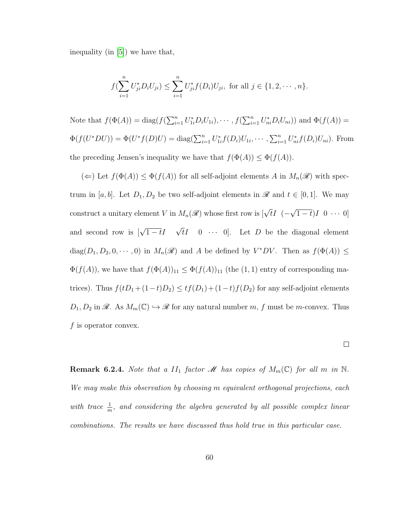inequality (in [\[5\]](#page-72-2)) we have that,

$$
f(\sum_{i=1}^n U_{ji}^* D_i U_{ji}) \le \sum_{i=1}^n U_{ji}^* f(D_i) U_{ji}, \text{ for all } j \in \{1, 2, \cdots, n\}.
$$

Note that  $f(\Phi(A)) = \text{diag}(f(\sum_{i=1}^n U_{1i}^* D_i U_{1i}), \cdots, f(\sum_{i=1}^n U_{ni}^* D_i U_{ni}))$  and  $\Phi(f(A)) =$  $\Phi(f(U^*DU)) = \Phi(U^*f(D)U) = \text{diag}(\sum_{i=1}^n U^*_{1i}f(D_i)U_{1i}, \cdots, \sum_{i=1}^n U^*_{ni}f(D_i)U_{ni}).$  From the preceding Jensen's inequality we have that  $f(\Phi(A)) \leq \Phi(f(A)).$ 

( $\Leftarrow$ ) Let  $f(\Phi(A)) \leq \Phi(f(A))$  for all self-adjoint elements A in  $M_n(\mathscr{R})$  with spectrum in [a, b]. Let  $D_1, D_2$  be two self-adjoint elements in  $\mathscr R$  and  $t \in [0, 1]$ . We may construct a unitary element V in  $M_n(\mathscr{R})$  whose first row is  $\lfloor \sqrt{t}I \rfloor$  (-√  $(1-t)I \hspace{0.1cm} 0 \hspace{0.1cm} \cdots \hspace{0.1cm} 0]$ and second row is  $[\sqrt{1-tI} \quad \sqrt{tI} \quad 0 \quad \cdots \quad 0]$ . Let D be the diagonal element  $diag(D_1, D_2, 0, \cdots, 0)$  in  $M_n(\mathscr{R})$  and A be defined by  $V^*DV$ . Then as  $f(\Phi(A)) \leq$  $\Phi(f(A))$ , we have that  $f(\Phi(A))_{11} \leq \Phi(f(A))_{11}$  (the  $(1,1)$  entry of corresponding matrices). Thus  $f(tD_1 + (1-t)D_2) \le tf(D_1) + (1-t)f(D_2)$  for any self-adjoint elements  $D_1, D_2$  in  $\mathscr{R}$ . As  $M_m(\mathbb{C}) \hookrightarrow \mathscr{R}$  for any natural number  $m$ , f must be m-convex. Thus f is operator convex.

 $\Box$ 

**Remark 6.2.4.** Note that a  $II_1$  factor  $M$  has copies of  $M_m(\mathbb{C})$  for all m in  $\mathbb{N}$ . We may make this observation by choosing m equivalent orthogonal projections, each with trace  $\frac{1}{m}$ , and considering the algebra generated by all possible complex linear combinations. The results we have discussed thus hold true in this particular case.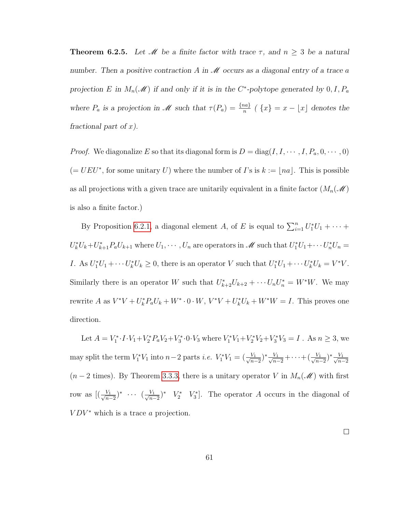**Theorem 6.2.5.** Let  $\mathcal{M}$  be a finite factor with trace  $\tau$ , and  $n \geq 3$  be a natural number. Then a positive contraction A in  $\mathcal M$  occurs as a diagonal entry of a trace a projection E in  $M_n(\mathcal{M})$  if and only if it is in the C<sup>\*</sup>-polytope generated by 0, I,  $P_a$ where  $P_a$  is a projection in M such that  $\tau(P_a) = \frac{\{na\}}{n}$  ( $\{x\} = x - \lfloor x \rfloor$  denotes the fractional part of  $x$ ).

*Proof.* We diagonalize E so that its diagonal form is  $D = diag(I, I, \dots, I, P_a, 0, \dots, 0)$  $(= U E U^*$ , for some unitary U) where the number of I's is  $k := |na|$ . This is possible as all projections with a given trace are unitarily equivalent in a finite factor  $(M_n(\mathscr{M}))$ is also a finite factor.)

By Proposition [6.2.1,](#page-66-1) a diagonal element A, of E is equal to  $\sum_{i=1}^{n} U_1^* U_1 + \cdots$  $U_k^*U_k+U_{k+1}^*P_aU_{k+1}$  where  $U_1,\cdots,U_n$  are operators in  $\mathscr M$  such that  $U_1^*U_1+\cdots U_n^*U_n=$ I. As  $U_1^*U_1 + \cdots U_k^*U_k \geq 0$ , there is an operator V such that  $U_1^*U_1 + \cdots U_k^*U_k = V^*V$ . Similarly there is an operator W such that  $U_{k+2}^*U_{k+2} + \cdots U_nU_n^* = W^*W$ . We may rewrite A as  $V^*V + U_k^*P_aU_k + W^* \cdot 0 \cdot W$ ,  $V^*V + U_k^*U_k + W^*W = I$ . This proves one direction.

Let  $A = V_1^* \cdot I \cdot V_1 + V_2^* P_a V_2 + V_3^* \cdot 0 \cdot V_3$  where  $V_1^* V_1 + V_2^* V_2 + V_3^* V_3 = I$ . As  $n \ge 3$ , we may split the term  $V_1^*V_1$  into  $n-2$  parts *i.e.*  $V_1^*V_1 = (\frac{V_1}{\sqrt{n}})$  $\frac{V_1}{n-2}$ <sup>\*</sup> $\frac{V_1}{\sqrt{n-1}}$  $\frac{V_1}{n-2} + \cdots + (\frac{V_1}{\sqrt{n-1}})$  $\frac{V_1}{n-2}$ <sup>\*</sup> $\frac{V_1}{\sqrt{n-1}}$  $n-2$  $(n-2 \text{ times})$ . By Theorem [3.3.3,](#page-30-0) there is a unitary operator V in  $M_n(\mathscr{M})$  with first row as  $\left[\left(\frac{V_1}{\sqrt{n}}\right)\right]$  $\frac{V_1}{n-2}$ <sup>\*</sup>  $\cdots$   $\left(\frac{V_1}{\sqrt{n-1}}\right)$  $\frac{V_1}{n-2}$ <sup>\*</sup>  $V_2^*$   $V_3^*$ . The operator A occurs in the diagonal of  $VDV^*$  which is a trace a projection.

 $\Box$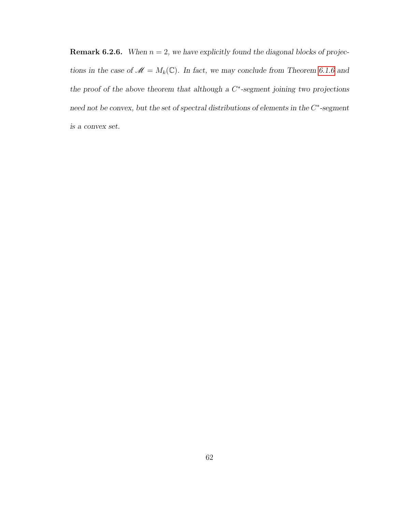**Remark 6.2.6.** When  $n = 2$ , we have explicitly found the diagonal blocks of projections in the case of  $\mathcal{M} = M_k(\mathbb{C})$ . In fact, we may conclude from Theorem [6.1.6](#page-64-0) and the proof of the above theorem that although a  $C^*$ -segment joining two projections need not be convex, but the set of spectral distributions of elements in the  $C^*$ -segment is a convex set.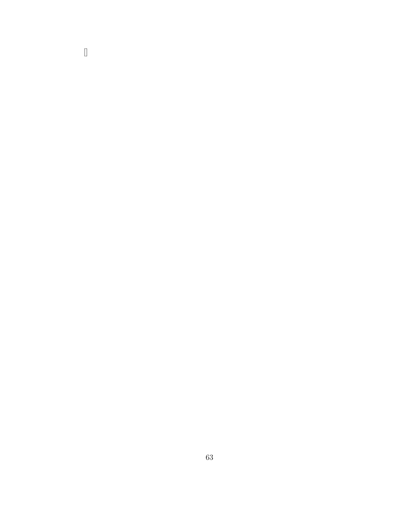[]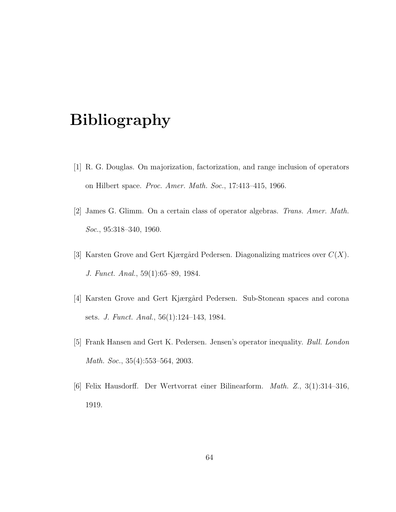## Bibliography

- [1] R. G. Douglas. On majorization, factorization, and range inclusion of operators on Hilbert space. Proc. Amer. Math. Soc., 17:413–415, 1966.
- [2] James G. Glimm. On a certain class of operator algebras. Trans. Amer. Math. Soc., 95:318–340, 1960.
- [3] Karsten Grove and Gert Kjærgård Pedersen. Diagonalizing matrices over  $C(X)$ . J. Funct. Anal., 59(1):65–89, 1984.
- [4] Karsten Grove and Gert Kjærgård Pedersen. Sub-Stonean spaces and corona sets. J. Funct. Anal., 56(1):124–143, 1984.
- [5] Frank Hansen and Gert K. Pedersen. Jensen's operator inequality. Bull. London Math. Soc., 35(4):553–564, 2003.
- [6] Felix Hausdorff. Der Wertvorrat einer Bilinearform. Math. Z., 3(1):314–316, 1919.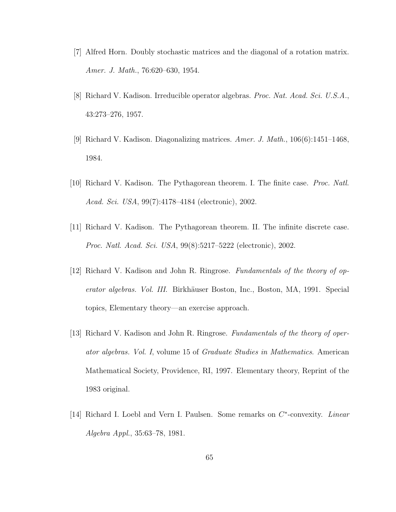- [7] Alfred Horn. Doubly stochastic matrices and the diagonal of a rotation matrix. Amer. J. Math., 76:620–630, 1954.
- [8] Richard V. Kadison. Irreducible operator algebras. Proc. Nat. Acad. Sci. U.S.A., 43:273–276, 1957.
- [9] Richard V. Kadison. Diagonalizing matrices. Amer. J. Math., 106(6):1451–1468, 1984.
- [10] Richard V. Kadison. The Pythagorean theorem. I. The finite case. Proc. Natl. Acad. Sci. USA, 99(7):4178–4184 (electronic), 2002.
- [11] Richard V. Kadison. The Pythagorean theorem. II. The infinite discrete case. Proc. Natl. Acad. Sci. USA, 99(8):5217–5222 (electronic), 2002.
- [12] Richard V. Kadison and John R. Ringrose. Fundamentals of the theory of operator algebras. Vol. III. Birkhäuser Boston, Inc., Boston, MA, 1991. Special topics, Elementary theory—an exercise approach.
- [13] Richard V. Kadison and John R. Ringrose. Fundamentals of the theory of operator algebras. Vol. I, volume 15 of Graduate Studies in Mathematics. American Mathematical Society, Providence, RI, 1997. Elementary theory, Reprint of the 1983 original.
- [14] Richard I. Loebl and Vern I. Paulsen. Some remarks on  $C^*$ -convexity. Linear Algebra Appl., 35:63–78, 1981.